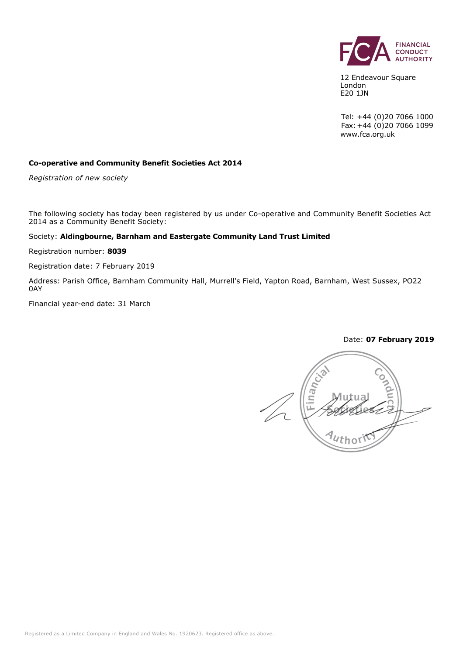

12 Endeavour Square London E20 1JN

Tel: +44 (0)20 7066 1000 Fax:+44 (0)20 7066 1099 www.fca.org.uk

#### **Co-operative and Community Benefit Societies Act 2014**

*Registration of new society*

The following society has today been registered by us under Co-operative and Community Benefit Societies Act 2014 as a Community Benefit Society:

#### Society: **Aldingbourne, Barnham and Eastergate Community Land Trust Limited**

Registration number: **8039**

Registration date: 7 February 2019

Address: Parish Office, Barnham Community Hall, Murrell's Field, Yapton Road, Barnham, West Sussex, PO22 0AY

Financial year-end date: 31 March

#### Date: **07 February 2019**

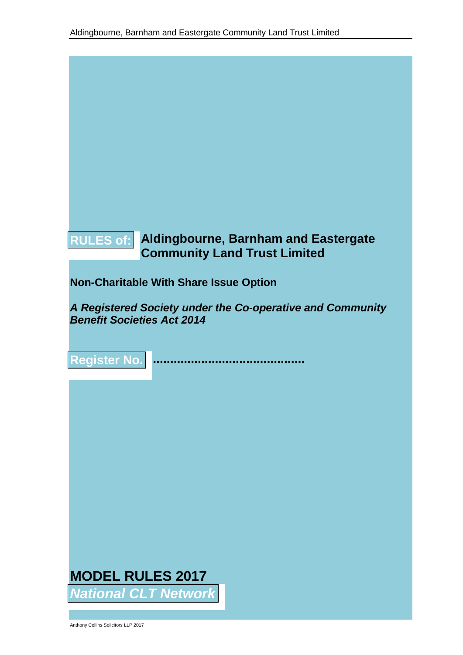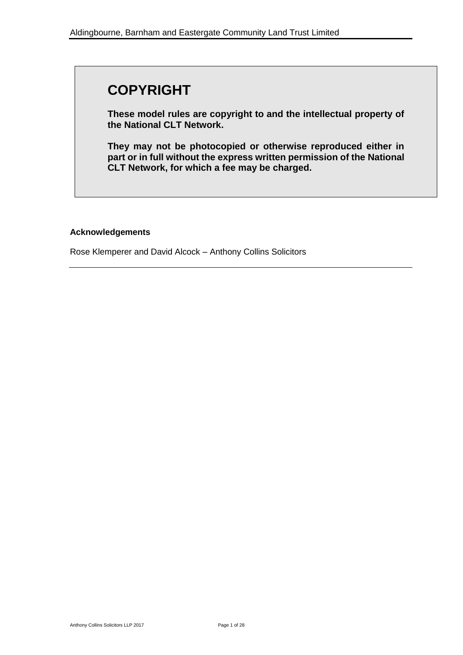# **COPYRIGHT**

**These model rules are copyright to and the intellectual property of the National CLT Network.** 

**They may not be photocopied or otherwise reproduced either in part or in full without the express written permission of the National CLT Network, for which a fee may be charged.**

#### **Acknowledgements**

Rose Klemperer and David Alcock – Anthony Collins Solicitors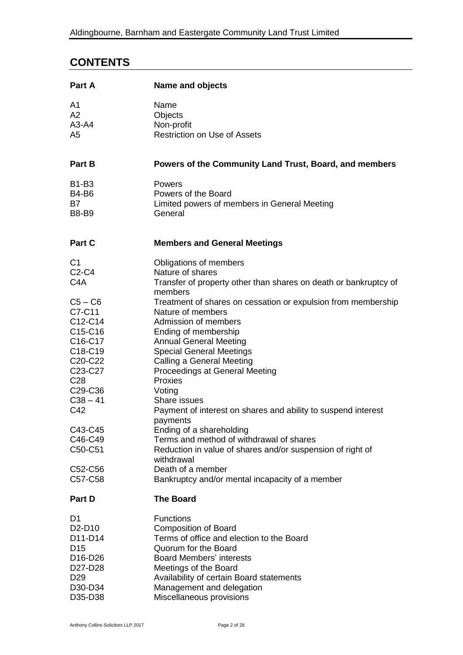# **CONTENTS**

| Part A                                      | Name and objects                                                            |
|---------------------------------------------|-----------------------------------------------------------------------------|
| A1                                          | Name                                                                        |
| A2                                          | Objects                                                                     |
| $A3-A4$                                     | Non-profit                                                                  |
| A <sub>5</sub>                              | <b>Restriction on Use of Assets</b>                                         |
| <b>Part B</b>                               | Powers of the Community Land Trust, Board, and members                      |
| <b>B1-B3</b>                                | Powers                                                                      |
| <b>B4-B6</b>                                | Powers of the Board                                                         |
| <b>B7</b>                                   | Limited powers of members in General Meeting                                |
| <b>B8-B9</b>                                | General                                                                     |
| Part C                                      | <b>Members and General Meetings</b>                                         |
| C <sub>1</sub>                              | Obligations of members                                                      |
| C <sub>2</sub> -C <sub>4</sub>              | Nature of shares                                                            |
| C <sub>4</sub> A                            | Transfer of property other than shares on death or bankruptcy of<br>members |
| $C5 - C6$                                   | Treatment of shares on cessation or expulsion from membership               |
| C7-C11                                      | Nature of members                                                           |
| C12-C14                                     | Admission of members                                                        |
| C15-C16<br>C16-C17                          | Ending of membership<br><b>Annual General Meeting</b>                       |
| C18-C19                                     | <b>Special General Meetings</b>                                             |
| C <sub>20</sub> -C <sub>22</sub>            | Calling a General Meeting                                                   |
| C <sub>23</sub> -C <sub>27</sub>            | Proceedings at General Meeting                                              |
| C <sub>28</sub>                             | Proxies                                                                     |
| C <sub>29</sub> -C <sub>36</sub>            | Voting                                                                      |
| $C38 - 41$                                  | Share issues                                                                |
| C42                                         | Payment of interest on shares and ability to suspend interest<br>payments   |
| C43-C45                                     | Ending of a shareholding                                                    |
| C46-C49                                     | Terms and method of withdrawal of shares                                    |
| C50-C51                                     | Reduction in value of shares and/or suspension of right of<br>withdrawal    |
| C52-C56                                     | Death of a member                                                           |
| C57-C58                                     | Bankruptcy and/or mental incapacity of a member                             |
| Part D                                      | <b>The Board</b>                                                            |
| D1                                          | <b>Functions</b>                                                            |
| D <sub>2</sub> -D <sub>10</sub>             | <b>Composition of Board</b>                                                 |
| D11-D14                                     | Terms of office and election to the Board                                   |
| D <sub>15</sub>                             | Quorum for the Board                                                        |
| D <sub>16</sub> -D <sub>26</sub><br>D27-D28 | <b>Board Members' interests</b><br>Meetings of the Board                    |
| D <sub>29</sub>                             | Availability of certain Board statements                                    |
| D30-D34                                     | Management and delegation                                                   |
| D35-D38                                     | Miscellaneous provisions                                                    |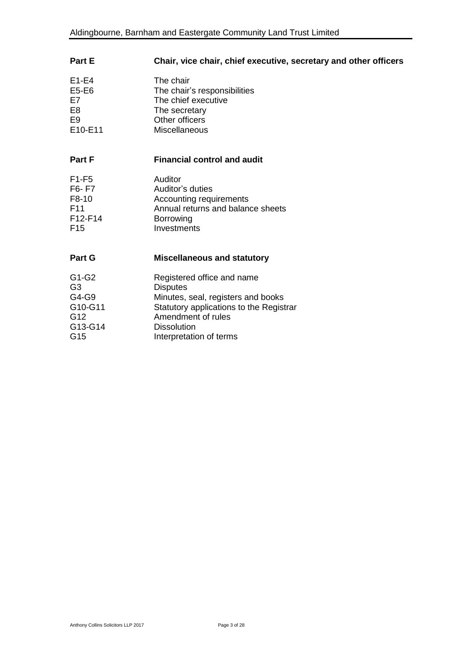| Part E          | Chair, vice chair, chief executive, secretary and other officers |
|-----------------|------------------------------------------------------------------|
| $E1-E4$         | The chair                                                        |
| E5-E6           | The chair's responsibilities                                     |
| E7              | The chief executive                                              |
| E <sub>8</sub>  | The secretary                                                    |
| E9              | Other officers                                                   |
| E10-E11         | Miscellaneous                                                    |
| <b>Part F</b>   | <b>Financial control and audit</b>                               |
| $F1-F5$         | Auditor                                                          |
| F6-F7           | Auditor's duties                                                 |
| F8-10           | Accounting requirements                                          |
| F <sub>11</sub> | Annual returns and balance sheets                                |
| F12-F14         | Borrowing                                                        |
| F <sub>15</sub> | Investments                                                      |
| <b>Part G</b>   | <b>Miscellaneous and statutory</b>                               |
| G1-G2           | Registered office and name                                       |
| G <sub>3</sub>  | <b>Disputes</b>                                                  |
| G4-G9           | Minutes, seal, registers and books                               |
| G10-G11         | Statutory applications to the Registrar                          |
| G <sub>12</sub> | Amendment of rules                                               |
| G13-G14         | <b>Dissolution</b>                                               |
| G15             | Interpretation of terms                                          |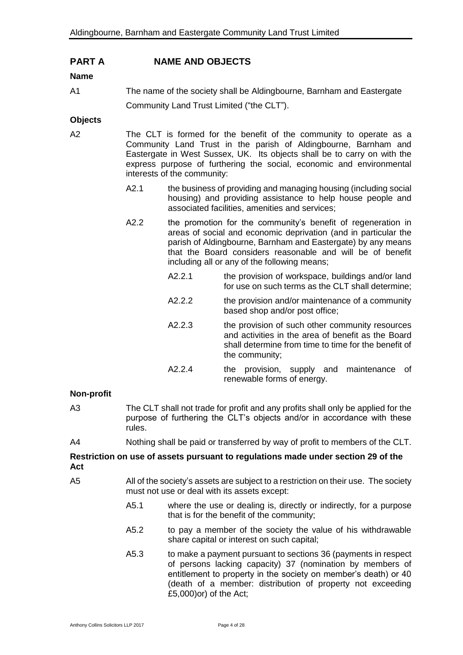# **PART A NAME AND OBJECTS**

#### **Name**

A1 The name of the society shall be Aldingbourne, Barnham and Eastergate Community Land Trust Limited ("the CLT").

#### **Objects**

- A2 The CLT is formed for the benefit of the community to operate as a Community Land Trust in the parish of Aldingbourne, Barnham and Eastergate in West Sussex, UK. Its objects shall be to carry on with the express purpose of furthering the social, economic and environmental interests of the community:
	- A2.1 the business of providing and managing housing (including social housing) and providing assistance to help house people and associated facilities, amenities and services;
	- A2.2 the promotion for the community's benefit of regeneration in areas of social and economic deprivation (and in particular the parish of Aldingbourne, Barnham and Eastergate) by any means that the Board considers reasonable and will be of benefit including all or any of the following means;
		- A2.2.1 the provision of workspace, buildings and/or land for use on such terms as the CLT shall determine;
		- A2.2.2 the provision and/or maintenance of a community based shop and/or post office;
		- A2.2.3 the provision of such other community resources and activities in the area of benefit as the Board shall determine from time to time for the benefit of the community;
		- A2.2.4 the provision, supply and maintenance of renewable forms of energy.

#### **Non-profit**

- A3 The CLT shall not trade for profit and any profits shall only be applied for the purpose of furthering the CLT's objects and/or in accordance with these rules.
- A4 Nothing shall be paid or transferred by way of profit to members of the CLT.

#### **Restriction on use of assets pursuant to regulations made under section 29 of the Act**

- A5 All of the society's assets are subject to a restriction on their use. The society must not use or deal with its assets except:
	- A5.1 where the use or dealing is, directly or indirectly, for a purpose that is for the benefit of the community;
	- A5.2 to pay a member of the society the value of his withdrawable share capital or interest on such capital;
	- A5.3 to make a payment pursuant to sections 36 (payments in respect of persons lacking capacity) 37 (nomination by members of entitlement to property in the society on member's death) or 40 (death of a member: distribution of property not exceeding £5,000)or) of the Act;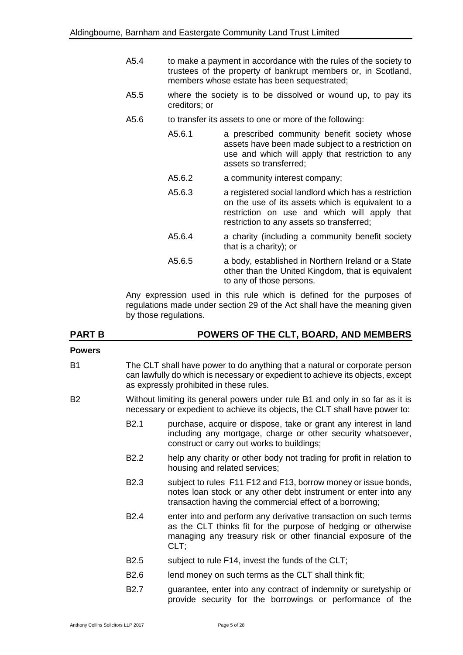- A5.4 to make a payment in accordance with the rules of the society to trustees of the property of bankrupt members or, in Scotland, members whose estate has been sequestrated;
- A5.5 where the society is to be dissolved or wound up, to pay its creditors; or
- A5.6 to transfer its assets to one or more of the following:
	- A5.6.1 a prescribed community benefit society whose assets have been made subject to a restriction on use and which will apply that restriction to any assets so transferred;
	- A5.6.2 a community interest company;
	- A5.6.3 a registered social landlord which has a restriction on the use of its assets which is equivalent to a restriction on use and which will apply that restriction to any assets so transferred;
	- A5.6.4 a charity (including a community benefit society that is a charity); or
	- A5.6.5 a body, established in Northern Ireland or a State other than the United Kingdom, that is equivalent to any of those persons.

Any expression used in this rule which is defined for the purposes of regulations made under section 29 of the Act shall have the meaning given by those regulations.

| <b>PART B</b>  |                  | POWERS OF THE CLT, BOARD, AND MEMBERS                                                                                                                                                                     |  |  |
|----------------|------------------|-----------------------------------------------------------------------------------------------------------------------------------------------------------------------------------------------------------|--|--|
| <b>Powers</b>  |                  |                                                                                                                                                                                                           |  |  |
| <b>B1</b>      |                  | The CLT shall have power to do anything that a natural or corporate person<br>can lawfully do which is necessary or expedient to achieve its objects, except<br>as expressly prohibited in these rules.   |  |  |
| B <sub>2</sub> |                  | Without limiting its general powers under rule B1 and only in so far as it is<br>necessary or expedient to achieve its objects, the CLT shall have power to:                                              |  |  |
|                | B <sub>2.1</sub> | purchase, acquire or dispose, take or grant any interest in land<br>including any mortgage, charge or other security whatsoever,<br>construct or carry out works to buildings;                            |  |  |
|                | B <sub>2.2</sub> | help any charity or other body not trading for profit in relation to<br>housing and related services;                                                                                                     |  |  |
|                | B <sub>2.3</sub> | subject to rules F11 F12 and F13, borrow money or issue bonds,<br>notes loan stock or any other debt instrument or enter into any<br>transaction having the commercial effect of a borrowing;             |  |  |
|                | B <sub>2.4</sub> | enter into and perform any derivative transaction on such terms<br>as the CLT thinks fit for the purpose of hedging or otherwise<br>managing any treasury risk or other financial exposure of the<br>CLT; |  |  |
|                | B <sub>2.5</sub> | subject to rule F14, invest the funds of the CLT;                                                                                                                                                         |  |  |
|                | B <sub>2.6</sub> | lend money on such terms as the CLT shall think fit;                                                                                                                                                      |  |  |
|                | <b>B2.7</b>      | guarantee, enter into any contract of indemnity or suretyship or<br>provide security for the borrowings or performance of the                                                                             |  |  |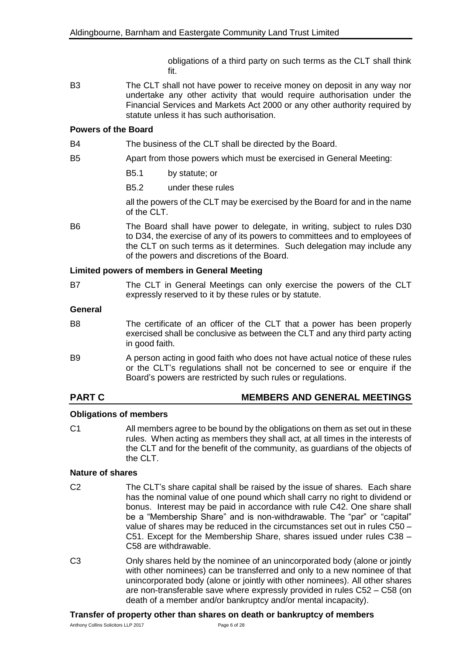obligations of a third party on such terms as the CLT shall think fit.

B3 The CLT shall not have power to receive money on deposit in any way nor undertake any other activity that would require authorisation under the Financial Services and Markets Act 2000 or any other authority required by statute unless it has such authorisation.

#### **Powers of the Board**

B4 The business of the CLT shall be directed by the Board.

- B5 Apart from those powers which must be exercised in General Meeting:
	- B5.1 by statute; or
	- B5.2 under these rules

all the powers of the CLT may be exercised by the Board for and in the name of the CLT.

B6 The Board shall have power to delegate, in writing, subject to rules D30 to D34, the exercise of any of its powers to committees and to employees of the CLT on such terms as it determines. Such delegation may include any of the powers and discretions of the Board.

#### **Limited powers of members in General Meeting**

B7 The CLT in General Meetings can only exercise the powers of the CLT expressly reserved to it by these rules or by statute.

#### **General**

- B8 The certificate of an officer of the CLT that a power has been properly exercised shall be conclusive as between the CLT and any third party acting in good faith.
- B9 A person acting in good faith who does not have actual notice of these rules or the CLT's regulations shall not be concerned to see or enquire if the Board's powers are restricted by such rules or regulations.

# **PART C MEMBERS AND GENERAL MEETINGS**

### **Obligations of members**

C1 All members agree to be bound by the obligations on them as set out in these rules. When acting as members they shall act, at all times in the interests of the CLT and for the benefit of the community, as guardians of the objects of the CLT.

### **Nature of shares**

- C2 The CLT's share capital shall be raised by the issue of shares. Each share has the nominal value of one pound which shall carry no right to dividend or bonus. Interest may be paid in accordance with rule C42. One share shall be a "Membership Share" and is non-withdrawable. The "par" or "capital" value of shares may be reduced in the circumstances set out in rules C50 – C51. Except for the Membership Share, shares issued under rules C38 – C58 are withdrawable.
- C3 Only shares held by the nominee of an unincorporated body (alone or jointly with other nominees) can be transferred and only to a new nominee of that unincorporated body (alone or jointly with other nominees). All other shares are non-transferable save where expressly provided in rules C52 – C58 (on death of a member and/or bankruptcy and/or mental incapacity).

#### **Transfer of property other than shares on death or bankruptcy of members**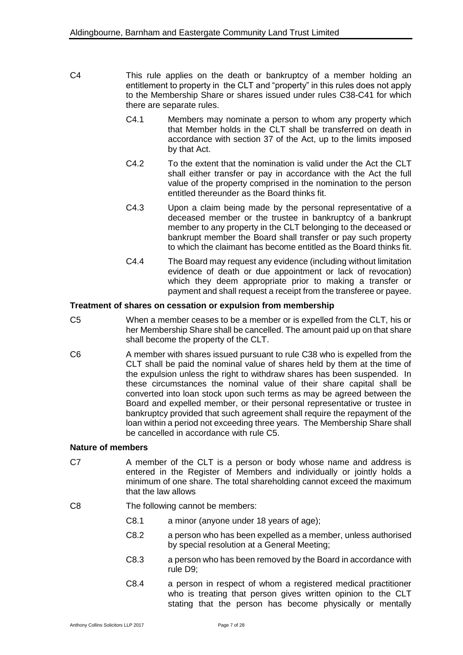- C4 This rule applies on the death or bankruptcy of a member holding an entitlement to property in the CLT and "property" in this rules does not apply to the Membership Share or shares issued under rules C38-C41 for which there are separate rules.
	- C4.1 Members may nominate a person to whom any property which that Member holds in the CLT shall be transferred on death in accordance with section 37 of the Act, up to the limits imposed by that Act.
	- C4.2 To the extent that the nomination is valid under the Act the CLT shall either transfer or pay in accordance with the Act the full value of the property comprised in the nomination to the person entitled thereunder as the Board thinks fit.
	- C4.3 Upon a claim being made by the personal representative of a deceased member or the trustee in bankruptcy of a bankrupt member to any property in the CLT belonging to the deceased or bankrupt member the Board shall transfer or pay such property to which the claimant has become entitled as the Board thinks fit.
	- C4.4 The Board may request any evidence (including without limitation evidence of death or due appointment or lack of revocation) which they deem appropriate prior to making a transfer or payment and shall request a receipt from the transferee or payee.

#### **Treatment of shares on cessation or expulsion from membership**

- C5 When a member ceases to be a member or is expelled from the CLT, his or her Membership Share shall be cancelled. The amount paid up on that share shall become the property of the CLT.
- C6 A member with shares issued pursuant to rule C38 who is expelled from the CLT shall be paid the nominal value of shares held by them at the time of the expulsion unless the right to withdraw shares has been suspended. In these circumstances the nominal value of their share capital shall be converted into loan stock upon such terms as may be agreed between the Board and expelled member, or their personal representative or trustee in bankruptcy provided that such agreement shall require the repayment of the loan within a period not exceeding three years. The Membership Share shall be cancelled in accordance with rule C5.

#### **Nature of members**

C7 A member of the CLT is a person or body whose name and address is entered in the Register of Members and individually or jointly holds a minimum of one share. The total shareholding cannot exceed the maximum that the law allows

C8 The following cannot be members:

- C8.1 a minor (anyone under 18 years of age);
- C8.2 a person who has been expelled as a member, unless authorised by special resolution at a General Meeting;
- C8.3 a person who has been removed by the Board in accordance with rule D9;
- C8.4 a person in respect of whom a registered medical practitioner who is treating that person gives written opinion to the CLT stating that the person has become physically or mentally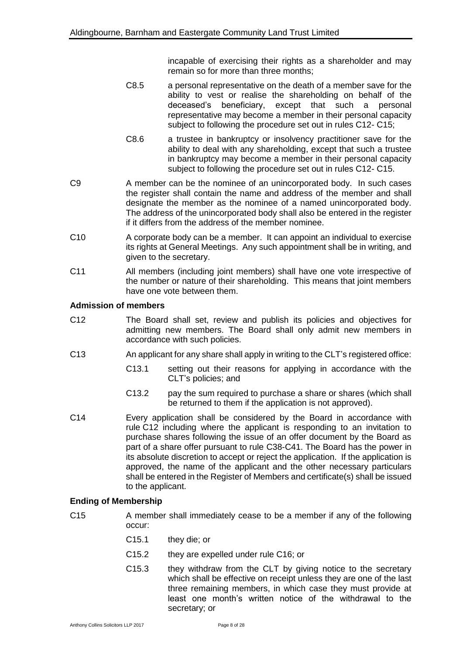incapable of exercising their rights as a shareholder and may remain so for more than three months;

- C8.5 a personal representative on the death of a member save for the ability to vest or realise the shareholding on behalf of the deceased's beneficiary, except that such a personal representative may become a member in their personal capacity subject to following the procedure set out in rules C12- C15;
- C8.6 a trustee in bankruptcy or insolvency practitioner save for the ability to deal with any shareholding, except that such a trustee in bankruptcy may become a member in their personal capacity subject to following the procedure set out in rules C12- C15.
- C9 A member can be the nominee of an unincorporated body. In such cases the register shall contain the name and address of the member and shall designate the member as the nominee of a named unincorporated body. The address of the unincorporated body shall also be entered in the register if it differs from the address of the member nominee.
- C10 A corporate body can be a member. It can appoint an individual to exercise its rights at General Meetings. Any such appointment shall be in writing, and given to the secretary.
- C11 All members (including joint members) shall have one vote irrespective of the number or nature of their shareholding. This means that joint members have one vote between them.

#### **Admission of members**

- C12 The Board shall set, review and publish its policies and objectives for admitting new members. The Board shall only admit new members in accordance with such policies.
- C13 An applicant for any share shall apply in writing to the CLT's registered office:
	- C13.1 setting out their reasons for applying in accordance with the CLT's policies; and
	- C13.2 pay the sum required to purchase a share or shares (which shall be returned to them if the application is not approved).
- C14 Every application shall be considered by the Board in accordance with rule C12 including where the applicant is responding to an invitation to purchase shares following the issue of an offer document by the Board as part of a share offer pursuant to rule C38-C41. The Board has the power in its absolute discretion to accept or reject the application. If the application is approved, the name of the applicant and the other necessary particulars shall be entered in the Register of Members and certificate(s) shall be issued to the applicant.

#### **Ending of Membership**

- C15 A member shall immediately cease to be a member if any of the following occur:
	- C15.1 they die; or
	- C15.2 they are expelled under rule C16; or
	- C15.3 they withdraw from the CLT by giving notice to the secretary which shall be effective on receipt unless they are one of the last three remaining members, in which case they must provide at least one month's written notice of the withdrawal to the secretary; or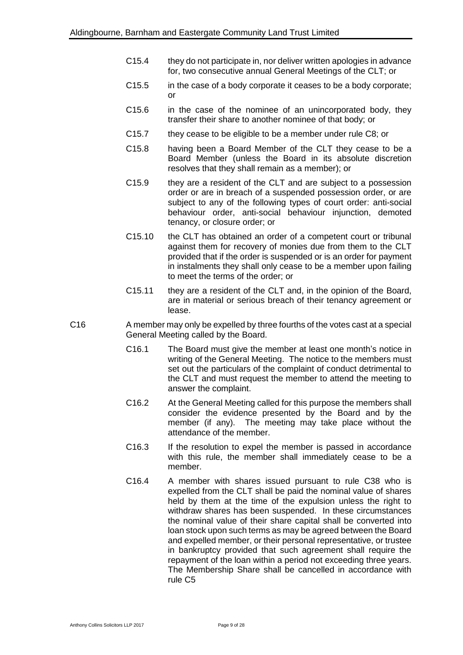- C15.4 they do not participate in, nor deliver written apologies in advance for, two consecutive annual General Meetings of the CLT; or
- C15.5 in the case of a body corporate it ceases to be a body corporate; or
- C15.6 in the case of the nominee of an unincorporated body, they transfer their share to another nominee of that body; or
- C15.7 they cease to be eligible to be a member under rule C8; or
- C15.8 having been a Board Member of the CLT they cease to be a Board Member (unless the Board in its absolute discretion resolves that they shall remain as a member); or
- C15.9 they are a resident of the CLT and are subject to a possession order or are in breach of a suspended possession order, or are subject to any of the following types of court order: anti-social behaviour order, anti-social behaviour injunction, demoted tenancy, or closure order; or
- C15.10 the CLT has obtained an order of a competent court or tribunal against them for recovery of monies due from them to the CLT provided that if the order is suspended or is an order for payment in instalments they shall only cease to be a member upon failing to meet the terms of the order; or
- C15.11 they are a resident of the CLT and, in the opinion of the Board, are in material or serious breach of their tenancy agreement or lease.
- C16 A member may only be expelled by three fourths of the votes cast at a special General Meeting called by the Board.
	- C16.1 The Board must give the member at least one month's notice in writing of the General Meeting. The notice to the members must set out the particulars of the complaint of conduct detrimental to the CLT and must request the member to attend the meeting to answer the complaint.
	- C16.2 At the General Meeting called for this purpose the members shall consider the evidence presented by the Board and by the member (if any). The meeting may take place without the attendance of the member.
	- C16.3 If the resolution to expel the member is passed in accordance with this rule, the member shall immediately cease to be a member.
	- C16.4 A member with shares issued pursuant to rule C38 who is expelled from the CLT shall be paid the nominal value of shares held by them at the time of the expulsion unless the right to withdraw shares has been suspended. In these circumstances the nominal value of their share capital shall be converted into loan stock upon such terms as may be agreed between the Board and expelled member, or their personal representative, or trustee in bankruptcy provided that such agreement shall require the repayment of the loan within a period not exceeding three years. The Membership Share shall be cancelled in accordance with rule C5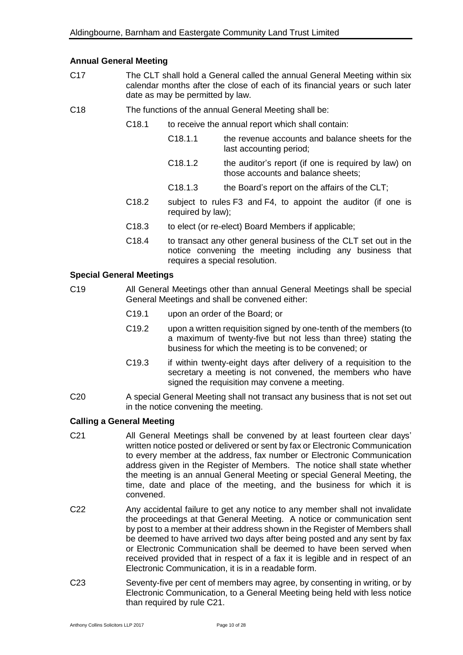#### **Annual General Meeting**

- C17 The CLT shall hold a General called the annual General Meeting within six calendar months after the close of each of its financial years or such later date as may be permitted by law.
- C18 The functions of the annual General Meeting shall be:
	- C18.1 to receive the annual report which shall contain:
		- C18.1.1 the revenue accounts and balance sheets for the last accounting period;
		- C18.1.2 the auditor's report (if one is required by law) on those accounts and balance sheets;
		- C18.1.3 the Board's report on the affairs of the CLT;
	- C18.2 subject to rules F3 and F4, to appoint the auditor (if one is required by law);
	- C18.3 to elect (or re-elect) Board Members if applicable;
	- C18.4 to transact any other general business of the CLT set out in the notice convening the meeting including any business that requires a special resolution.

#### **Special General Meetings**

- C19 All General Meetings other than annual General Meetings shall be special General Meetings and shall be convened either:
	- C19.1 upon an order of the Board; or
	- C19.2 upon a written requisition signed by one-tenth of the members (to a maximum of twenty-five but not less than three) stating the business for which the meeting is to be convened; or
	- C19.3 if within twenty-eight days after delivery of a requisition to the secretary a meeting is not convened, the members who have signed the requisition may convene a meeting.
- C20 A special General Meeting shall not transact any business that is not set out in the notice convening the meeting.

#### **Calling a General Meeting**

- C21 All General Meetings shall be convened by at least fourteen clear days' written notice posted or delivered or sent by fax or Electronic Communication to every member at the address, fax number or Electronic Communication address given in the Register of Members. The notice shall state whether the meeting is an annual General Meeting or special General Meeting, the time, date and place of the meeting, and the business for which it is convened.
- C22 Any accidental failure to get any notice to any member shall not invalidate the proceedings at that General Meeting. A notice or communication sent by post to a member at their address shown in the Register of Members shall be deemed to have arrived two days after being posted and any sent by fax or Electronic Communication shall be deemed to have been served when received provided that in respect of a fax it is legible and in respect of an Electronic Communication, it is in a readable form.
- C23 Seventy-five per cent of members may agree, by consenting in writing, or by Electronic Communication, to a General Meeting being held with less notice than required by rule C21.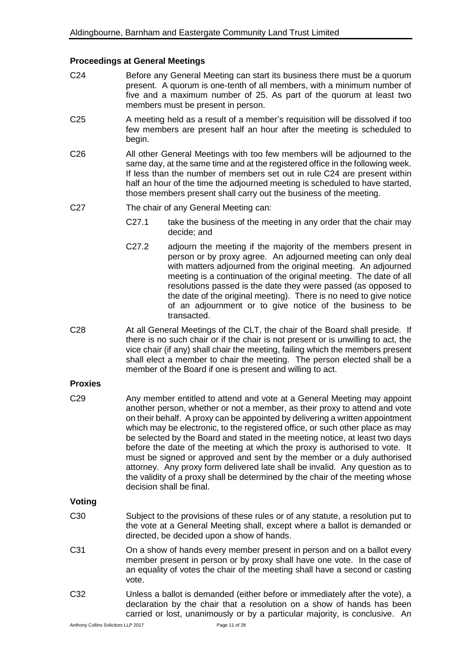#### **Proceedings at General Meetings**

- C24 Before any General Meeting can start its business there must be a quorum present. A quorum is one-tenth of all members, with a minimum number of five and a maximum number of 25. As part of the quorum at least two members must be present in person.
- C25 A meeting held as a result of a member's requisition will be dissolved if too few members are present half an hour after the meeting is scheduled to begin.
- C26 All other General Meetings with too few members will be adjourned to the same day, at the same time and at the registered office in the following week. If less than the number of members set out in rule C24 are present within half an hour of the time the adjourned meeting is scheduled to have started, those members present shall carry out the business of the meeting.
- C27 The chair of any General Meeting can:
	- C27.1 take the business of the meeting in any order that the chair may decide; and
	- C27.2 adjourn the meeting if the majority of the members present in person or by proxy agree. An adjourned meeting can only deal with matters adjourned from the original meeting. An adjourned meeting is a continuation of the original meeting. The date of all resolutions passed is the date they were passed (as opposed to the date of the original meeting). There is no need to give notice of an adjournment or to give notice of the business to be transacted.
- C28 At all General Meetings of the CLT, the chair of the Board shall preside. If there is no such chair or if the chair is not present or is unwilling to act, the vice chair (if any) shall chair the meeting, failing which the members present shall elect a member to chair the meeting. The person elected shall be a member of the Board if one is present and willing to act.

### **Proxies**

C29 Any member entitled to attend and vote at a General Meeting may appoint another person, whether or not a member, as their proxy to attend and vote on their behalf. A proxy can be appointed by delivering a written appointment which may be electronic, to the registered office, or such other place as may be selected by the Board and stated in the meeting notice, at least two days before the date of the meeting at which the proxy is authorised to vote. It must be signed or approved and sent by the member or a duly authorised attorney. Any proxy form delivered late shall be invalid. Any question as to the validity of a proxy shall be determined by the chair of the meeting whose decision shall be final.

### **Voting**

- C30 Subject to the provisions of these rules or of any statute, a resolution put to the vote at a General Meeting shall, except where a ballot is demanded or directed, be decided upon a show of hands.
- C31 On a show of hands every member present in person and on a ballot every member present in person or by proxy shall have one vote. In the case of an equality of votes the chair of the meeting shall have a second or casting vote.
- C32 Unless a ballot is demanded (either before or immediately after the vote), a declaration by the chair that a resolution on a show of hands has been carried or lost, unanimously or by a particular majority, is conclusive. An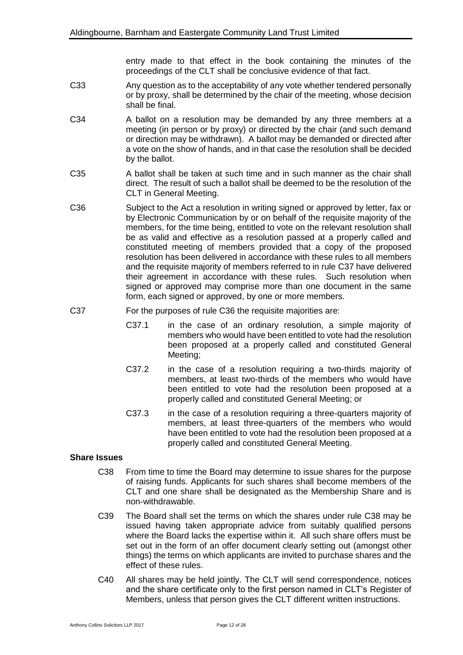entry made to that effect in the book containing the minutes of the proceedings of the CLT shall be conclusive evidence of that fact.

- C33 Any question as to the acceptability of any vote whether tendered personally or by proxy, shall be determined by the chair of the meeting, whose decision shall be final.
- C34 A ballot on a resolution may be demanded by any three members at a meeting (in person or by proxy) or directed by the chair (and such demand or direction may be withdrawn). A ballot may be demanded or directed after a vote on the show of hands, and in that case the resolution shall be decided by the ballot.
- C35 A ballot shall be taken at such time and in such manner as the chair shall direct. The result of such a ballot shall be deemed to be the resolution of the CLT in General Meeting.
- C36 Subject to the Act a resolution in writing signed or approved by letter, fax or by Electronic Communication by or on behalf of the requisite majority of the members, for the time being, entitled to vote on the relevant resolution shall be as valid and effective as a resolution passed at a properly called and constituted meeting of members provided that a copy of the proposed resolution has been delivered in accordance with these rules to all members and the requisite majority of members referred to in rule C37 have delivered their agreement in accordance with these rules. Such resolution when signed or approved may comprise more than one document in the same form, each signed or approved, by one or more members.
- C37 For the purposes of rule C36 the requisite majorities are:
	- C37.1 in the case of an ordinary resolution, a simple majority of members who would have been entitled to vote had the resolution been proposed at a properly called and constituted General Meeting;
	- C37.2 in the case of a resolution requiring a two-thirds majority of members, at least two-thirds of the members who would have been entitled to vote had the resolution been proposed at a properly called and constituted General Meeting; or
	- C37.3 in the case of a resolution requiring a three-quarters majority of members, at least three-quarters of the members who would have been entitled to vote had the resolution been proposed at a properly called and constituted General Meeting.

### **Share Issues**

- C38 From time to time the Board may determine to issue shares for the purpose of raising funds. Applicants for such shares shall become members of the CLT and one share shall be designated as the Membership Share and is non-withdrawable.
- C39 The Board shall set the terms on which the shares under rule C38 may be issued having taken appropriate advice from suitably qualified persons where the Board lacks the expertise within it. All such share offers must be set out in the form of an offer document clearly setting out (amongst other things) the terms on which applicants are invited to purchase shares and the effect of these rules.
- C40 All shares may be held jointly. The CLT will send correspondence, notices and the share certificate only to the first person named in CLT's Register of Members, unless that person gives the CLT different written instructions.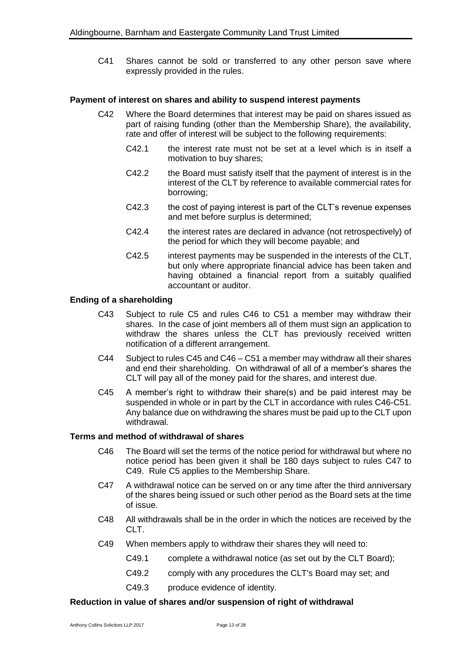C41 Shares cannot be sold or transferred to any other person save where expressly provided in the rules.

#### **Payment of interest on shares and ability to suspend interest payments**

- C42 Where the Board determines that interest may be paid on shares issued as part of raising funding (other than the Membership Share), the availability, rate and offer of interest will be subject to the following requirements:
	- C42.1 the interest rate must not be set at a level which is in itself a motivation to buy shares;
	- C42.2 the Board must satisfy itself that the payment of interest is in the interest of the CLT by reference to available commercial rates for borrowing;
	- C42.3 the cost of paying interest is part of the CLT's revenue expenses and met before surplus is determined;
	- C42.4 the interest rates are declared in advance (not retrospectively) of the period for which they will become payable; and
	- C42.5 interest payments may be suspended in the interests of the CLT, but only where appropriate financial advice has been taken and having obtained a financial report from a suitably qualified accountant or auditor.

#### **Ending of a shareholding**

- C43 Subject to rule C5 and rules C46 to C51 a member may withdraw their shares. In the case of joint members all of them must sign an application to withdraw the shares unless the CLT has previously received written notification of a different arrangement.
- C44 Subject to rules C45 and C46 C51 a member may withdraw all their shares and end their shareholding. On withdrawal of all of a member's shares the CLT will pay all of the money paid for the shares, and interest due.
- C45 A member's right to withdraw their share(s) and be paid interest may be suspended in whole or in part by the CLT in accordance with rules C46-C51. Any balance due on withdrawing the shares must be paid up to the CLT upon withdrawal.

#### **Terms and method of withdrawal of shares**

- C46 The Board will set the terms of the notice period for withdrawal but where no notice period has been given it shall be 180 days subject to rules C47 to C49. Rule C5 applies to the Membership Share.
- C47 A withdrawal notice can be served on or any time after the third anniversary of the shares being issued or such other period as the Board sets at the time of issue.
- C48 All withdrawals shall be in the order in which the notices are received by the CLT.
- C49 When members apply to withdraw their shares they will need to:
	- C49.1 complete a withdrawal notice (as set out by the CLT Board);
	- C49.2 comply with any procedures the CLT's Board may set; and
	- C49.3 produce evidence of identity.

#### **Reduction in value of shares and/or suspension of right of withdrawal**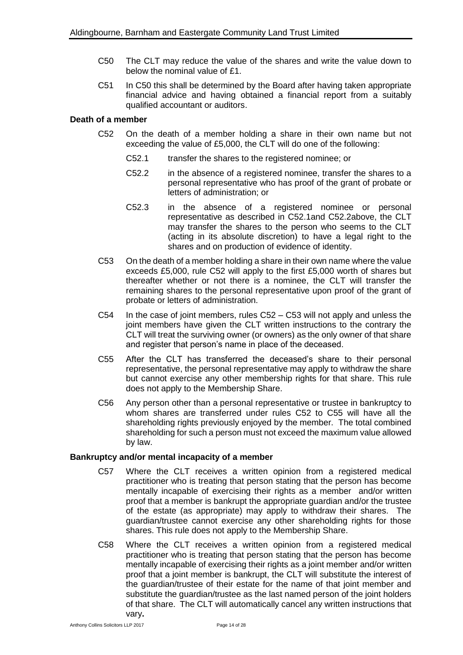- C50 The CLT may reduce the value of the shares and write the value down to below the nominal value of £1.
- C51 In C50 this shall be determined by the Board after having taken appropriate financial advice and having obtained a financial report from a suitably qualified accountant or auditors.

### **Death of a member**

- C52 On the death of a member holding a share in their own name but not exceeding the value of £5,000, the CLT will do one of the following:
	- C52.1 transfer the shares to the registered nominee; or
	- C52.2 in the absence of a registered nominee, transfer the shares to a personal representative who has proof of the grant of probate or letters of administration; or
	- C52.3 in the absence of a registered nominee or personal representative as described in C52.1and C52.2above, the CLT may transfer the shares to the person who seems to the CLT (acting in its absolute discretion) to have a legal right to the shares and on production of evidence of identity.
- C53 On the death of a member holding a share in their own name where the value exceeds £5,000, rule C52 will apply to the first £5,000 worth of shares but thereafter whether or not there is a nominee, the CLT will transfer the remaining shares to the personal representative upon proof of the grant of probate or letters of administration.
- C54 In the case of joint members, rules C52 C53 will not apply and unless the joint members have given the CLT written instructions to the contrary the CLT will treat the surviving owner (or owners) as the only owner of that share and register that person's name in place of the deceased.
- C55 After the CLT has transferred the deceased's share to their personal representative, the personal representative may apply to withdraw the share but cannot exercise any other membership rights for that share. This rule does not apply to the Membership Share.
- C56 Any person other than a personal representative or trustee in bankruptcy to whom shares are transferred under rules C52 to C55 will have all the shareholding rights previously enjoyed by the member. The total combined shareholding for such a person must not exceed the maximum value allowed by law.

### **Bankruptcy and/or mental incapacity of a member**

- C57 Where the CLT receives a written opinion from a registered medical practitioner who is treating that person stating that the person has become mentally incapable of exercising their rights as a member and/or written proof that a member is bankrupt the appropriate guardian and/or the trustee of the estate (as appropriate) may apply to withdraw their shares. The guardian/trustee cannot exercise any other shareholding rights for those shares. This rule does not apply to the Membership Share.
- C58 Where the CLT receives a written opinion from a registered medical practitioner who is treating that person stating that the person has become mentally incapable of exercising their rights as a joint member and/or written proof that a joint member is bankrupt, the CLT will substitute the interest of the guardian/trustee of their estate for the name of that joint member and substitute the guardian/trustee as the last named person of the joint holders of that share. The CLT will automatically cancel any written instructions that vary**.**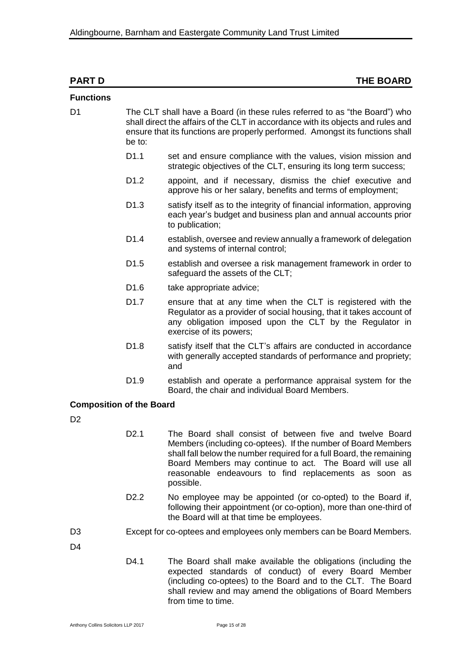| <b>PART D</b>                   |                  | <b>THE BOARD</b>                                                                                                                                                                                                                                                                                                                     |
|---------------------------------|------------------|--------------------------------------------------------------------------------------------------------------------------------------------------------------------------------------------------------------------------------------------------------------------------------------------------------------------------------------|
| <b>Functions</b>                |                  |                                                                                                                                                                                                                                                                                                                                      |
| D <sub>1</sub>                  | be to:           | The CLT shall have a Board (in these rules referred to as "the Board") who<br>shall direct the affairs of the CLT in accordance with its objects and rules and<br>ensure that its functions are properly performed. Amongst its functions shall                                                                                      |
|                                 | D <sub>1.1</sub> | set and ensure compliance with the values, vision mission and<br>strategic objectives of the CLT, ensuring its long term success;                                                                                                                                                                                                    |
|                                 | D <sub>1.2</sub> | appoint, and if necessary, dismiss the chief executive and<br>approve his or her salary, benefits and terms of employment;                                                                                                                                                                                                           |
|                                 | D <sub>1.3</sub> | satisfy itself as to the integrity of financial information, approving<br>each year's budget and business plan and annual accounts prior<br>to publication;                                                                                                                                                                          |
|                                 | D <sub>1.4</sub> | establish, oversee and review annually a framework of delegation<br>and systems of internal control;                                                                                                                                                                                                                                 |
|                                 | D <sub>1.5</sub> | establish and oversee a risk management framework in order to<br>safeguard the assets of the CLT;                                                                                                                                                                                                                                    |
|                                 | D <sub>1.6</sub> | take appropriate advice;                                                                                                                                                                                                                                                                                                             |
|                                 | D <sub>1.7</sub> | ensure that at any time when the CLT is registered with the<br>Regulator as a provider of social housing, that it takes account of<br>any obligation imposed upon the CLT by the Regulator in<br>exercise of its powers;                                                                                                             |
|                                 | D <sub>1.8</sub> | satisfy itself that the CLT's affairs are conducted in accordance<br>with generally accepted standards of performance and propriety;<br>and                                                                                                                                                                                          |
|                                 | D <sub>1.9</sub> | establish and operate a performance appraisal system for the<br>Board, the chair and individual Board Members.                                                                                                                                                                                                                       |
| <b>Composition of the Board</b> |                  |                                                                                                                                                                                                                                                                                                                                      |
| D <sub>2</sub>                  |                  |                                                                                                                                                                                                                                                                                                                                      |
|                                 | D <sub>2.1</sub> | The Board shall consist of between five and twelve Board<br>Members (including co-optees). If the number of Board Members<br>shall fall below the number required for a full Board, the remaining<br>Board Members may continue to act. The Board will use all<br>reasonable endeavours to find replacements as soon as<br>possible. |
|                                 | D <sub>2.2</sub> | No employee may be appointed (or co-opted) to the Board if,<br>following their appointment (or co-option), more than one-third of<br>the Board will at that time be employees.                                                                                                                                                       |
| D <sub>3</sub>                  |                  | Except for co-optees and employees only members can be Board Members.                                                                                                                                                                                                                                                                |
| D4                              |                  |                                                                                                                                                                                                                                                                                                                                      |
|                                 | D4.1             | The Board shall make available the obligations (including the<br>expected standards of conduct) of every Board Member<br>(including co-optees) to the Board and to the CLT. The Board                                                                                                                                                |

from time to time.

shall review and may amend the obligations of Board Members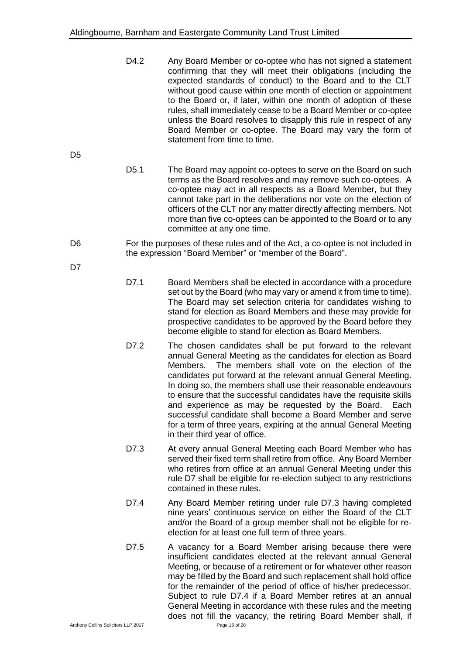D4.2 Any Board Member or co-optee who has not signed a statement confirming that they will meet their obligations (including the expected standards of conduct) to the Board and to the CLT without good cause within one month of election or appointment to the Board or, if later, within one month of adoption of these rules, shall immediately cease to be a Board Member or co-optee unless the Board resolves to disapply this rule in respect of any Board Member or co-optee. The Board may vary the form of statement from time to time.

D<sub>5</sub>

D5.1 The Board may appoint co-optees to serve on the Board on such terms as the Board resolves and may remove such co-optees. A co-optee may act in all respects as a Board Member, but they cannot take part in the deliberations nor vote on the election of officers of the CLT nor any matter directly affecting members. Not more than five co-optees can be appointed to the Board or to any committee at any one time.

D6 For the purposes of these rules and of the Act, a co-optee is not included in the expression "Board Member" or "member of the Board".

D<sub>7</sub>

- D7.1 Board Members shall be elected in accordance with a procedure set out by the Board (who may vary or amend it from time to time). The Board may set selection criteria for candidates wishing to stand for election as Board Members and these may provide for prospective candidates to be approved by the Board before they become eligible to stand for election as Board Members.
- D7.2 The chosen candidates shall be put forward to the relevant annual General Meeting as the candidates for election as Board Members. The members shall vote on the election of the candidates put forward at the relevant annual General Meeting. In doing so, the members shall use their reasonable endeavours to ensure that the successful candidates have the requisite skills and experience as may be requested by the Board. Each successful candidate shall become a Board Member and serve for a term of three years, expiring at the annual General Meeting in their third year of office.
- D7.3 At every annual General Meeting each Board Member who has served their fixed term shall retire from office. Any Board Member who retires from office at an annual General Meeting under this rule D7 shall be eligible for re-election subject to any restrictions contained in these rules.
- D7.4 Any Board Member retiring under rule D7.3 having completed nine years' continuous service on either the Board of the CLT and/or the Board of a group member shall not be eligible for reelection for at least one full term of three years.
- D7.5 A vacancy for a Board Member arising because there were insufficient candidates elected at the relevant annual General Meeting, or because of a retirement or for whatever other reason may be filled by the Board and such replacement shall hold office for the remainder of the period of office of his/her predecessor. Subject to rule D7.4 if a Board Member retires at an annual General Meeting in accordance with these rules and the meeting does not fill the vacancy, the retiring Board Member shall, if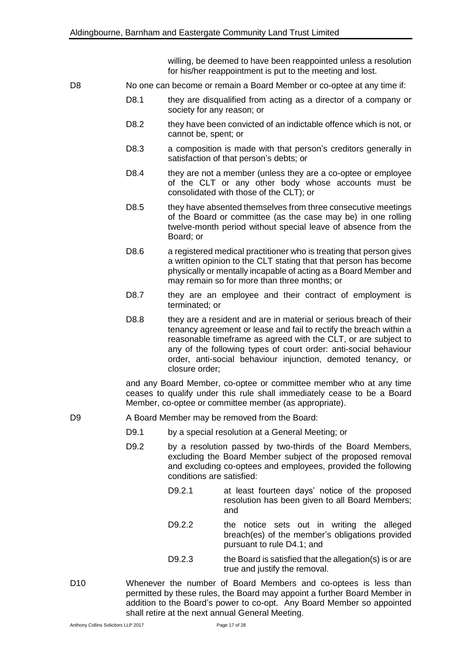willing, be deemed to have been reappointed unless a resolution for his/her reappointment is put to the meeting and lost.

- D8 No one can become or remain a Board Member or co-optee at any time if:
	- D8.1 they are disqualified from acting as a director of a company or society for any reason; or
	- D8.2 they have been convicted of an indictable offence which is not, or cannot be, spent; or
	- D8.3 a composition is made with that person's creditors generally in satisfaction of that person's debts; or
	- D8.4 they are not a member (unless they are a co-optee or employee of the CLT or any other body whose accounts must be consolidated with those of the CLT); or
	- D8.5 they have absented themselves from three consecutive meetings of the Board or committee (as the case may be) in one rolling twelve-month period without special leave of absence from the Board; or
	- D8.6 a registered medical practitioner who is treating that person gives a written opinion to the CLT stating that that person has become physically or mentally incapable of acting as a Board Member and may remain so for more than three months; or
	- D8.7 they are an employee and their contract of employment is terminated; or
	- D8.8 they are a resident and are in material or serious breach of their tenancy agreement or lease and fail to rectify the breach within a reasonable timeframe as agreed with the CLT, or are subject to any of the following types of court order: anti-social behaviour order, anti-social behaviour injunction, demoted tenancy, or closure order;

and any Board Member, co-optee or committee member who at any time ceases to qualify under this rule shall immediately cease to be a Board Member, co-optee or committee member (as appropriate).

- D9 A Board Member may be removed from the Board:
	- D9.1 by a special resolution at a General Meeting; or
	- D9.2 by a resolution passed by two-thirds of the Board Members, excluding the Board Member subject of the proposed removal and excluding co-optees and employees, provided the following conditions are satisfied:
		- D9.2.1 at least fourteen days' notice of the proposed resolution has been given to all Board Members; and
		- D9.2.2 the notice sets out in writing the alleged breach(es) of the member's obligations provided pursuant to rule D4.1; and
		- D9.2.3 the Board is satisfied that the allegation(s) is or are true and justify the removal.
- D10 Whenever the number of Board Members and co-optees is less than permitted by these rules, the Board may appoint a further Board Member in addition to the Board's power to co-opt. Any Board Member so appointed shall retire at the next annual General Meeting.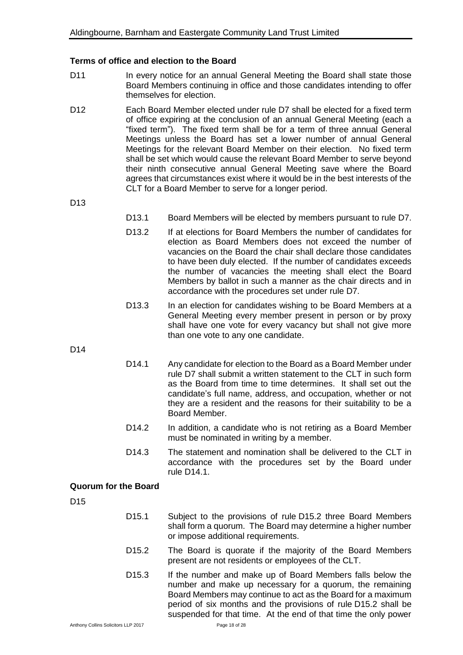#### **Terms of office and election to the Board**

- D11 In every notice for an annual General Meeting the Board shall state those Board Members continuing in office and those candidates intending to offer themselves for election.
- D12 Each Board Member elected under rule D7 shall be elected for a fixed term of office expiring at the conclusion of an annual General Meeting (each a "fixed term"). The fixed term shall be for a term of three annual General Meetings unless the Board has set a lower number of annual General Meetings for the relevant Board Member on their election. No fixed term shall be set which would cause the relevant Board Member to serve beyond their ninth consecutive annual General Meeting save where the Board agrees that circumstances exist where it would be in the best interests of the CLT for a Board Member to serve for a longer period.

D13

- D13.1 Board Members will be elected by members pursuant to rule D7.
- D13.2 If at elections for Board Members the number of candidates for election as Board Members does not exceed the number of vacancies on the Board the chair shall declare those candidates to have been duly elected. If the number of candidates exceeds the number of vacancies the meeting shall elect the Board Members by ballot in such a manner as the chair directs and in accordance with the procedures set under rule D7.
- D13.3 In an election for candidates wishing to be Board Members at a General Meeting every member present in person or by proxy shall have one vote for every vacancy but shall not give more than one vote to any one candidate.

D14

- D14.1 Any candidate for election to the Board as a Board Member under rule D7 shall submit a written statement to the CLT in such form as the Board from time to time determines. It shall set out the candidate's full name, address, and occupation, whether or not they are a resident and the reasons for their suitability to be a Board Member.
- D14.2 In addition, a candidate who is not retiring as a Board Member must be nominated in writing by a member.
- D14.3 The statement and nomination shall be delivered to the CLT in accordance with the procedures set by the Board under rule D14.1.

#### **Quorum for the Board**

D15

- D15.1 Subject to the provisions of rule D15.2 three Board Members shall form a quorum. The Board may determine a higher number or impose additional requirements.
- D15.2 The Board is quorate if the majority of the Board Members present are not residents or employees of the CLT.
- D15.3 If the number and make up of Board Members falls below the number and make up necessary for a quorum, the remaining Board Members may continue to act as the Board for a maximum period of six months and the provisions of rule D15.2 shall be suspended for that time. At the end of that time the only power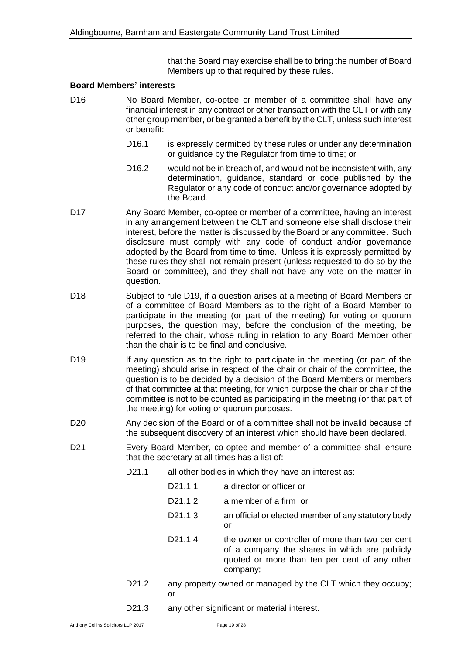that the Board may exercise shall be to bring the number of Board Members up to that required by these rules.

#### **Board Members' interests**

- D16 No Board Member, co-optee or member of a committee shall have any financial interest in any contract or other transaction with the CLT or with any other group member, or be granted a benefit by the CLT, unless such interest or benefit:
	- D16.1 is expressly permitted by these rules or under any determination or guidance by the Regulator from time to time; or
	- D16.2 would not be in breach of, and would not be inconsistent with, any determination, guidance, standard or code published by the Regulator or any code of conduct and/or governance adopted by the Board.
- D17 Any Board Member, co-optee or member of a committee, having an interest in any arrangement between the CLT and someone else shall disclose their interest, before the matter is discussed by the Board or any committee. Such disclosure must comply with any code of conduct and/or governance adopted by the Board from time to time. Unless it is expressly permitted by these rules they shall not remain present (unless requested to do so by the Board or committee), and they shall not have any vote on the matter in question.
- D18 Subject to rule D19, if a question arises at a meeting of Board Members or of a committee of Board Members as to the right of a Board Member to participate in the meeting (or part of the meeting) for voting or quorum purposes, the question may, before the conclusion of the meeting, be referred to the chair, whose ruling in relation to any Board Member other than the chair is to be final and conclusive.
- D19 If any question as to the right to participate in the meeting (or part of the meeting) should arise in respect of the chair or chair of the committee, the question is to be decided by a decision of the Board Members or members of that committee at that meeting, for which purpose the chair or chair of the committee is not to be counted as participating in the meeting (or that part of the meeting) for voting or quorum purposes.
- D20 Any decision of the Board or of a committee shall not be invalid because of the subsequent discovery of an interest which should have been declared.
- D21 Every Board Member, co-optee and member of a committee shall ensure that the secretary at all times has a list of:
	- D21.1 all other bodies in which they have an interest as:
		- D<sub>21.1.1</sub> a director or officer or
		- D21.1.2 a member of a firm or
		- D21.1.3 an official or elected member of any statutory body or
		- D21.1.4 the owner or controller of more than two per cent of a company the shares in which are publicly quoted or more than ten per cent of any other company;
	- D21.2 any property owned or managed by the CLT which they occupy; or
	- D21.3 any other significant or material interest.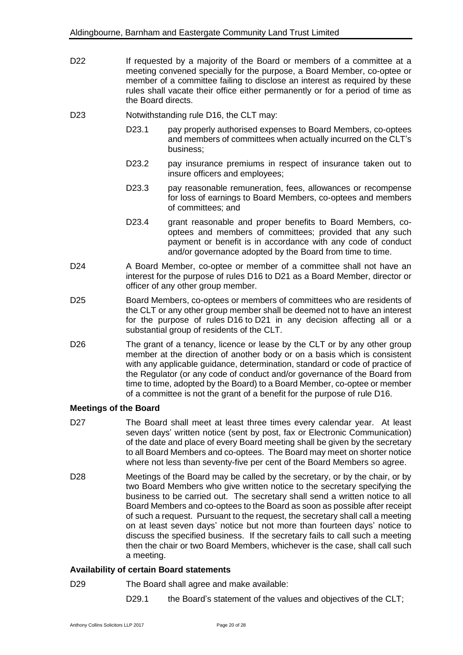- D22 If requested by a majority of the Board or members of a committee at a meeting convened specially for the purpose, a Board Member, co-optee or member of a committee failing to disclose an interest as required by these rules shall vacate their office either permanently or for a period of time as the Board directs.
- D23 Notwithstanding rule D16, the CLT may:
	- D23.1 pay properly authorised expenses to Board Members, co-optees and members of committees when actually incurred on the CLT's business;
	- D23.2 pay insurance premiums in respect of insurance taken out to insure officers and employees;
	- D23.3 pay reasonable remuneration, fees, allowances or recompense for loss of earnings to Board Members, co-optees and members of committees; and
	- D23.4 grant reasonable and proper benefits to Board Members, cooptees and members of committees; provided that any such payment or benefit is in accordance with any code of conduct and/or governance adopted by the Board from time to time.
- D24 A Board Member, co-optee or member of a committee shall not have an interest for the purpose of rules D16 to D21 as a Board Member, director or officer of any other group member.
- D25 Board Members, co-optees or members of committees who are residents of the CLT or any other group member shall be deemed not to have an interest for the purpose of rules D16 to D21 in any decision affecting all or a substantial group of residents of the CLT.
- D26 The grant of a tenancy, licence or lease by the CLT or by any other group member at the direction of another body or on a basis which is consistent with any applicable guidance, determination, standard or code of practice of the Regulator (or any code of conduct and/or governance of the Board from time to time, adopted by the Board) to a Board Member, co-optee or member of a committee is not the grant of a benefit for the purpose of rule D16.

#### **Meetings of the Board**

- D27 The Board shall meet at least three times every calendar year. At least seven days' written notice (sent by post, fax or Electronic Communication) of the date and place of every Board meeting shall be given by the secretary to all Board Members and co-optees. The Board may meet on shorter notice where not less than seventy-five per cent of the Board Members so agree.
- D28 Meetings of the Board may be called by the secretary, or by the chair, or by two Board Members who give written notice to the secretary specifying the business to be carried out. The secretary shall send a written notice to all Board Members and co-optees to the Board as soon as possible after receipt of such a request. Pursuant to the request, the secretary shall call a meeting on at least seven days' notice but not more than fourteen days' notice to discuss the specified business. If the secretary fails to call such a meeting then the chair or two Board Members, whichever is the case, shall call such a meeting.

#### **Availability of certain Board statements**

D29 The Board shall agree and make available:

D29.1 the Board's statement of the values and objectives of the CLT;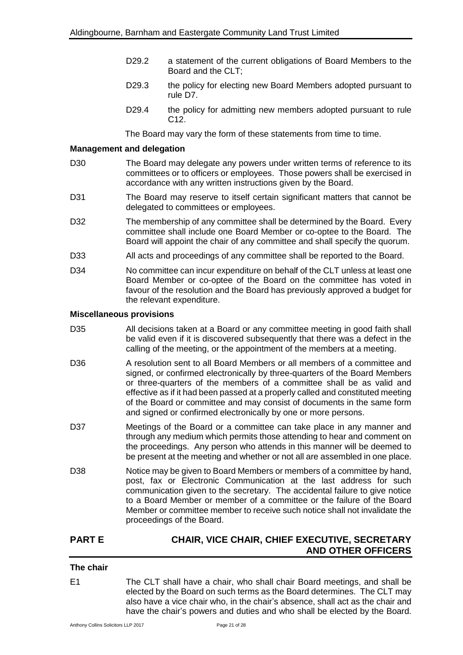- D29.2 a statement of the current obligations of Board Members to the Board and the CLT;
- D29.3 the policy for electing new Board Members adopted pursuant to rule D7.
- D29.4 the policy for admitting new members adopted pursuant to rule C12.

The Board may vary the form of these statements from time to time.

#### **Management and delegation**

- D30 The Board may delegate any powers under written terms of reference to its committees or to officers or employees. Those powers shall be exercised in accordance with any written instructions given by the Board.
- D31 The Board may reserve to itself certain significant matters that cannot be delegated to committees or employees.
- D32 The membership of any committee shall be determined by the Board. Every committee shall include one Board Member or co-optee to the Board. The Board will appoint the chair of any committee and shall specify the quorum.
- D33 All acts and proceedings of any committee shall be reported to the Board.
- D34 No committee can incur expenditure on behalf of the CLT unless at least one Board Member or co-optee of the Board on the committee has voted in favour of the resolution and the Board has previously approved a budget for the relevant expenditure.

#### **Miscellaneous provisions**

- D35 All decisions taken at a Board or any committee meeting in good faith shall be valid even if it is discovered subsequently that there was a defect in the calling of the meeting, or the appointment of the members at a meeting.
- D36 A resolution sent to all Board Members or all members of a committee and signed, or confirmed electronically by three-quarters of the Board Members or three-quarters of the members of a committee shall be as valid and effective as if it had been passed at a properly called and constituted meeting of the Board or committee and may consist of documents in the same form and signed or confirmed electronically by one or more persons.
- D37 Meetings of the Board or a committee can take place in any manner and through any medium which permits those attending to hear and comment on the proceedings. Any person who attends in this manner will be deemed to be present at the meeting and whether or not all are assembled in one place.
- D38 Notice may be given to Board Members or members of a committee by hand, post, fax or Electronic Communication at the last address for such communication given to the secretary. The accidental failure to give notice to a Board Member or member of a committee or the failure of the Board Member or committee member to receive such notice shall not invalidate the proceedings of the Board.

# **PART E CHAIR, VICE CHAIR, CHIEF EXECUTIVE, SECRETARY AND OTHER OFFICERS**

#### **The chair**

E1 The CLT shall have a chair, who shall chair Board meetings, and shall be elected by the Board on such terms as the Board determines. The CLT may also have a vice chair who, in the chair's absence, shall act as the chair and have the chair's powers and duties and who shall be elected by the Board.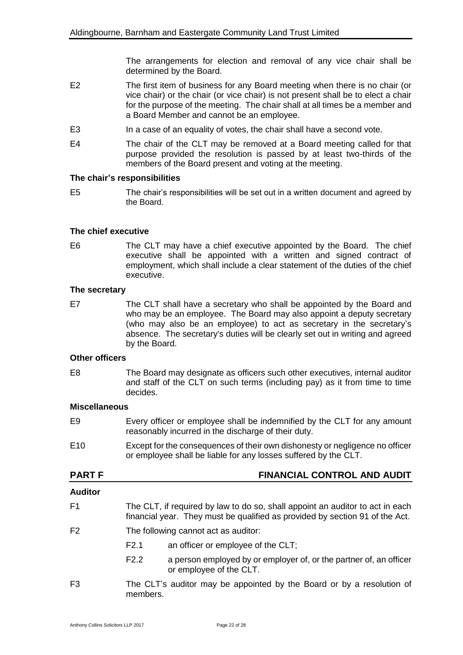The arrangements for election and removal of any vice chair shall be determined by the Board.

- E2 The first item of business for any Board meeting when there is no chair (or vice chair) or the chair (or vice chair) is not present shall be to elect a chair for the purpose of the meeting. The chair shall at all times be a member and a Board Member and cannot be an employee.
- E3 In a case of an equality of votes, the chair shall have a second vote.
- E4 The chair of the CLT may be removed at a Board meeting called for that purpose provided the resolution is passed by at least two-thirds of the members of the Board present and voting at the meeting.

#### **The chair's responsibilities**

E5 The chair's responsibilities will be set out in a written document and agreed by the Board.

#### **The chief executive**

E6 The CLT may have a chief executive appointed by the Board. The chief executive shall be appointed with a written and signed contract of employment, which shall include a clear statement of the duties of the chief executive.

#### **The secretary**

E7 The CLT shall have a secretary who shall be appointed by the Board and who may be an employee. The Board may also appoint a deputy secretary (who may also be an employee) to act as secretary in the secretary's absence. The secretary's duties will be clearly set out in writing and agreed by the Board.

#### **Other officers**

E8 The Board may designate as officers such other executives, internal auditor and staff of the CLT on such terms (including pay) as it from time to time decides.

#### **Miscellaneous**

- E9 Every officer or employee shall be indemnified by the CLT for any amount reasonably incurred in the discharge of their duty.
- E10 Except for the consequences of their own dishonesty or negligence no officer or employee shall be liable for any losses suffered by the CLT.

### **PART F FINANCIAL CONTROL AND AUDIT**

#### **Auditor**

- F1 The CLT, if required by law to do so, shall appoint an auditor to act in each financial year. They must be qualified as provided by section 91 of the Act.
- F2 The following cannot act as auditor:
	- F2.1 an officer or employee of the CLT;
	- F2.2 a person employed by or employer of, or the partner of, an officer or employee of the CLT.
- F3 The CLT's auditor may be appointed by the Board or by a resolution of members.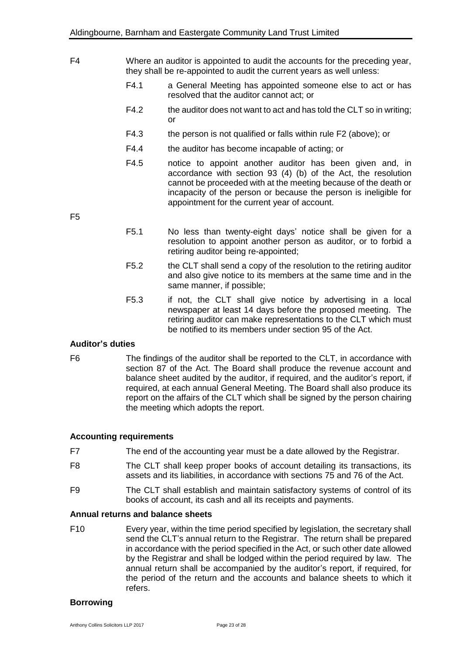- F4 Where an auditor is appointed to audit the accounts for the preceding year, they shall be re-appointed to audit the current years as well unless:
	- F4.1 a General Meeting has appointed someone else to act or has resolved that the auditor cannot act; or
	- F4.2 the auditor does not want to act and has told the CLT so in writing; or
	- F4.3 the person is not qualified or falls within rule F2 (above); or
	- F4.4 the auditor has become incapable of acting; or
	- F4.5 notice to appoint another auditor has been given and, in accordance with section 93 (4) (b) of the Act, the resolution cannot be proceeded with at the meeting because of the death or incapacity of the person or because the person is ineligible for appointment for the current year of account.

F5

- F5.1 No less than twenty-eight days' notice shall be given for a resolution to appoint another person as auditor, or to forbid a retiring auditor being re-appointed;
- F5.2 the CLT shall send a copy of the resolution to the retiring auditor and also give notice to its members at the same time and in the same manner, if possible;
- F5.3 if not, the CLT shall give notice by advertising in a local newspaper at least 14 days before the proposed meeting. The retiring auditor can make representations to the CLT which must be notified to its members under section 95 of the Act.

### **Auditor's duties**

F6 The findings of the auditor shall be reported to the CLT, in accordance with section 87 of the Act. The Board shall produce the revenue account and balance sheet audited by the auditor, if required, and the auditor's report, if required, at each annual General Meeting. The Board shall also produce its report on the affairs of the CLT which shall be signed by the person chairing the meeting which adopts the report.

# **Accounting requirements**

- F7 The end of the accounting year must be a date allowed by the Registrar.
- F8 The CLT shall keep proper books of account detailing its transactions, its assets and its liabilities, in accordance with sections 75 and 76 of the Act.
- F9 The CLT shall establish and maintain satisfactory systems of control of its books of account, its cash and all its receipts and payments.

# **Annual returns and balance sheets**

F10 Every year, within the time period specified by legislation, the secretary shall send the CLT's annual return to the Registrar. The return shall be prepared in accordance with the period specified in the Act, or such other date allowed by the Registrar and shall be lodged within the period required by law. The annual return shall be accompanied by the auditor's report, if required, for the period of the return and the accounts and balance sheets to which it refers.

### **Borrowing**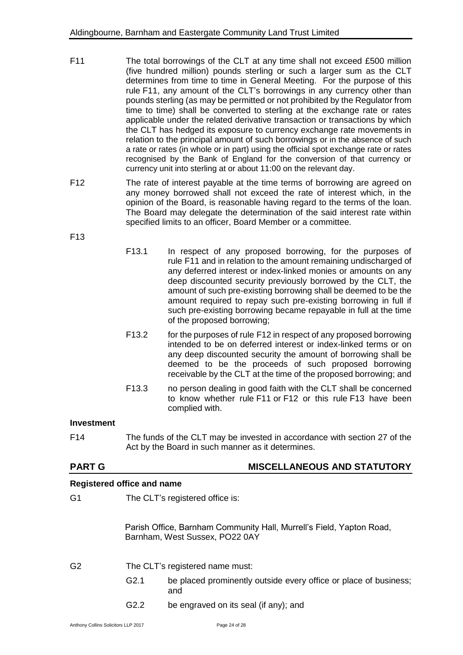- F11 The total borrowings of the CLT at any time shall not exceed £500 million (five hundred million) pounds sterling or such a larger sum as the CLT determines from time to time in General Meeting. For the purpose of this rule F11, any amount of the CLT's borrowings in any currency other than pounds sterling (as may be permitted or not prohibited by the Regulator from time to time) shall be converted to sterling at the exchange rate or rates applicable under the related derivative transaction or transactions by which the CLT has hedged its exposure to currency exchange rate movements in relation to the principal amount of such borrowings or in the absence of such a rate or rates (in whole or in part) using the official spot exchange rate or rates recognised by the Bank of England for the conversion of that currency or currency unit into sterling at or about 11:00 on the relevant day.
- F12 The rate of interest payable at the time terms of borrowing are agreed on any money borrowed shall not exceed the rate of interest which, in the opinion of the Board, is reasonable having regard to the terms of the loan. The Board may delegate the determination of the said interest rate within specified limits to an officer, Board Member or a committee.

F13

|                                   | F13.1             | In respect of any proposed borrowing, for the purposes of<br>rule F11 and in relation to the amount remaining undischarged of<br>any deferred interest or index-linked monies or amounts on any<br>deep discounted security previously borrowed by the CLT, the<br>amount of such pre-existing borrowing shall be deemed to be the<br>amount required to repay such pre-existing borrowing in full if<br>such pre-existing borrowing became repayable in full at the time<br>of the proposed borrowing; |
|-----------------------------------|-------------------|---------------------------------------------------------------------------------------------------------------------------------------------------------------------------------------------------------------------------------------------------------------------------------------------------------------------------------------------------------------------------------------------------------------------------------------------------------------------------------------------------------|
|                                   | F <sub>13.2</sub> | for the purposes of rule F12 in respect of any proposed borrowing<br>intended to be on deferred interest or index-linked terms or on<br>any deep discounted security the amount of borrowing shall be<br>deemed to be the proceeds of such proposed borrowing<br>receivable by the CLT at the time of the proposed borrowing; and                                                                                                                                                                       |
|                                   | F <sub>13.3</sub> | no person dealing in good faith with the CLT shall be concerned<br>to know whether rule F11 or F12 or this rule F13 have been<br>complied with.                                                                                                                                                                                                                                                                                                                                                         |
| <b>Investment</b>                 |                   |                                                                                                                                                                                                                                                                                                                                                                                                                                                                                                         |
| F <sub>14</sub>                   |                   | The funds of the CLT may be invested in accordance with section 27 of the<br>Act by the Board in such manner as it determines.                                                                                                                                                                                                                                                                                                                                                                          |
| <b>PART G</b>                     |                   | <b>MISCELLANEOUS AND STATUTORY</b>                                                                                                                                                                                                                                                                                                                                                                                                                                                                      |
| <b>Registered office and name</b> |                   |                                                                                                                                                                                                                                                                                                                                                                                                                                                                                                         |
| G <sub>1</sub>                    |                   | The CLT's registered office is:                                                                                                                                                                                                                                                                                                                                                                                                                                                                         |
|                                   |                   | Parish Office, Barnham Community Hall, Murrell's Field, Yapton Road,<br>Barnham, West Sussex, PO22 0AY                                                                                                                                                                                                                                                                                                                                                                                                  |
| G <sub>2</sub>                    |                   | The CLT's registered name must:                                                                                                                                                                                                                                                                                                                                                                                                                                                                         |
|                                   | G2.1              | be placed prominently outside every office or place of business;<br>and                                                                                                                                                                                                                                                                                                                                                                                                                                 |
|                                   | G2.2              | be engraved on its seal (if any); and                                                                                                                                                                                                                                                                                                                                                                                                                                                                   |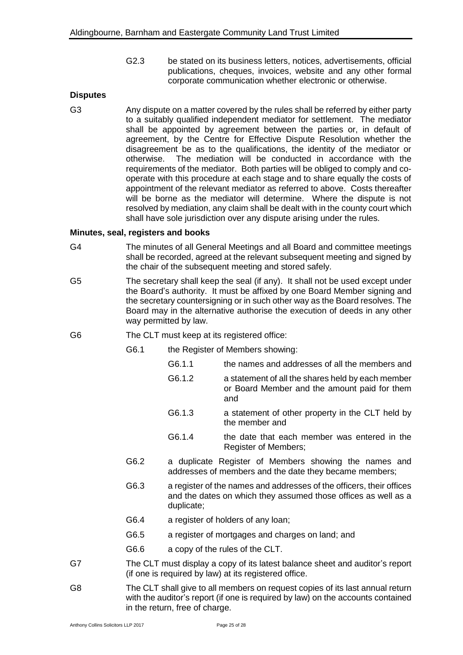G2.3 be stated on its business letters, notices, advertisements, official publications, cheques, invoices, website and any other formal corporate communication whether electronic or otherwise.

#### **Disputes**

G3 Any dispute on a matter covered by the rules shall be referred by either party to a suitably qualified independent mediator for settlement. The mediator shall be appointed by agreement between the parties or, in default of agreement, by the Centre for Effective Dispute Resolution whether the disagreement be as to the qualifications, the identity of the mediator or otherwise. The mediation will be conducted in accordance with the requirements of the mediator. Both parties will be obliged to comply and cooperate with this procedure at each stage and to share equally the costs of appointment of the relevant mediator as referred to above. Costs thereafter will be borne as the mediator will determine. Where the dispute is not resolved by mediation, any claim shall be dealt with in the county court which shall have sole jurisdiction over any dispute arising under the rules.

#### **Minutes, seal, registers and books**

- G4 The minutes of all General Meetings and all Board and committee meetings shall be recorded, agreed at the relevant subsequent meeting and signed by the chair of the subsequent meeting and stored safely.
- G5 The secretary shall keep the seal (if any). It shall not be used except under the Board's authority. It must be affixed by one Board Member signing and the secretary countersigning or in such other way as the Board resolves. The Board may in the alternative authorise the execution of deeds in any other way permitted by law.
- G6 The CLT must keep at its registered office:
	- G6.1 the Register of Members showing:
		- G6.1.1 the names and addresses of all the members and
			- G6.1.2 a statement of all the shares held by each member or Board Member and the amount paid for them and
			- G6.1.3 a statement of other property in the CLT held by the member and
			- G6.1.4 the date that each member was entered in the Register of Members;
	- G6.2 a duplicate Register of Members showing the names and addresses of members and the date they became members;
	- G6.3 a register of the names and addresses of the officers, their offices and the dates on which they assumed those offices as well as a duplicate;
	- G6.4 a register of holders of any loan;
	- G6.5 a register of mortgages and charges on land; and
	- G6.6 a copy of the rules of the CLT.
- G7 The CLT must display a copy of its latest balance sheet and auditor's report (if one is required by law) at its registered office.
- G8 The CLT shall give to all members on request copies of its last annual return with the auditor's report (if one is required by law) on the accounts contained in the return, free of charge.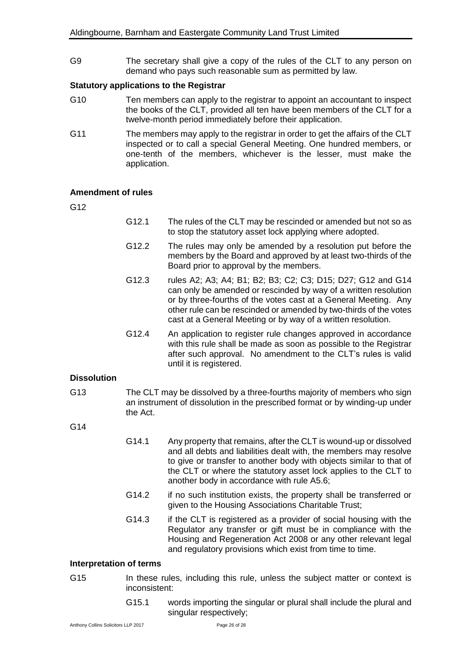G9 The secretary shall give a copy of the rules of the CLT to any person on demand who pays such reasonable sum as permitted by law.

#### **Statutory applications to the Registrar**

- G10 Ten members can apply to the registrar to appoint an accountant to inspect the books of the CLT, provided all ten have been members of the CLT for a twelve-month period immediately before their application.
- G11 The members may apply to the registrar in order to get the affairs of the CLT inspected or to call a special General Meeting. One hundred members, or one-tenth of the members, whichever is the lesser, must make the application.

#### **Amendment of rules**

G12

- G12.1 The rules of the CLT may be rescinded or amended but not so as to stop the statutory asset lock applying where adopted.
- G12.2 The rules may only be amended by a resolution put before the members by the Board and approved by at least two-thirds of the Board prior to approval by the members.
- G12.3 rules A2; A3; A4; B1; B2; B3; C2; C3; D15; D27; G12 and G14 can only be amended or rescinded by way of a written resolution or by three-fourths of the votes cast at a General Meeting. Any other rule can be rescinded or amended by two-thirds of the votes cast at a General Meeting or by way of a written resolution.
- G12.4 An application to register rule changes approved in accordance with this rule shall be made as soon as possible to the Registrar after such approval. No amendment to the CLT's rules is valid until it is registered.

#### **Dissolution**

G13 The CLT may be dissolved by a three-fourths majority of members who sign an instrument of dissolution in the prescribed format or by winding-up under the Act.

#### G14

- G14.1 Any property that remains, after the CLT is wound-up or dissolved and all debts and liabilities dealt with, the members may resolve to give or transfer to another body with objects similar to that of the CLT or where the statutory asset lock applies to the CLT to another body in accordance with rule A5.6;
- G14.2 if no such institution exists, the property shall be transferred or given to the Housing Associations Charitable Trust;
- G14.3 if the CLT is registered as a provider of social housing with the Regulator any transfer or gift must be in compliance with the Housing and Regeneration Act 2008 or any other relevant legal and regulatory provisions which exist from time to time.

### **Interpretation of terms**

- G15 In these rules, including this rule, unless the subject matter or context is inconsistent:
	- G15.1 words importing the singular or plural shall include the plural and singular respectively;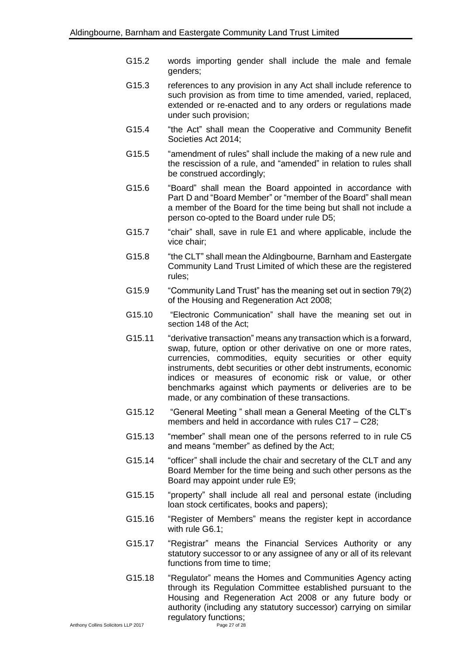- G15.2 words importing gender shall include the male and female genders;
- G15.3 references to any provision in any Act shall include reference to such provision as from time to time amended, varied, replaced, extended or re-enacted and to any orders or regulations made under such provision;
- G15.4 "the Act" shall mean the Cooperative and Community Benefit Societies Act 2014;
- G15.5 "amendment of rules" shall include the making of a new rule and the rescission of a rule, and "amended" in relation to rules shall be construed accordingly;
- G15.6 "Board" shall mean the Board appointed in accordance with Part D and "Board Member" or "member of the Board" shall mean a member of the Board for the time being but shall not include a person co-opted to the Board under rule D5;
- G15.7 "chair" shall, save in rule E1 and where applicable, include the vice chair;
- G15.8 "the CLT" shall mean the Aldingbourne, Barnham and Eastergate Community Land Trust Limited of which these are the registered rules;
- G15.9 "Community Land Trust" has the meaning set out in section 79(2) of the Housing and Regeneration Act 2008;
- G15.10 "Electronic Communication" shall have the meaning set out in section 148 of the Act;
- G15.11 "derivative transaction" means any transaction which is a forward, swap, future, option or other derivative on one or more rates, currencies, commodities, equity securities or other equity instruments, debt securities or other debt instruments, economic indices or measures of economic risk or value, or other benchmarks against which payments or deliveries are to be made, or any combination of these transactions.
- G15.12 "General Meeting " shall mean a General Meeting of the CLT's members and held in accordance with rules C17 – C28:
- G15.13 "member" shall mean one of the persons referred to in rule C5 and means "member" as defined by the Act;
- G15.14 "officer" shall include the chair and secretary of the CLT and any Board Member for the time being and such other persons as the Board may appoint under rule E9;
- G15.15 "property" shall include all real and personal estate (including loan stock certificates, books and papers);
- G15.16 "Register of Members" means the register kept in accordance with rule G6.1;
- G15.17 "Registrar" means the Financial Services Authority or any statutory successor to or any assignee of any or all of its relevant functions from time to time;
- G15.18 "Regulator" means the Homes and Communities Agency acting through its Regulation Committee established pursuant to the Housing and Regeneration Act 2008 or any future body or authority (including any statutory successor) carrying on similar regulatory functions;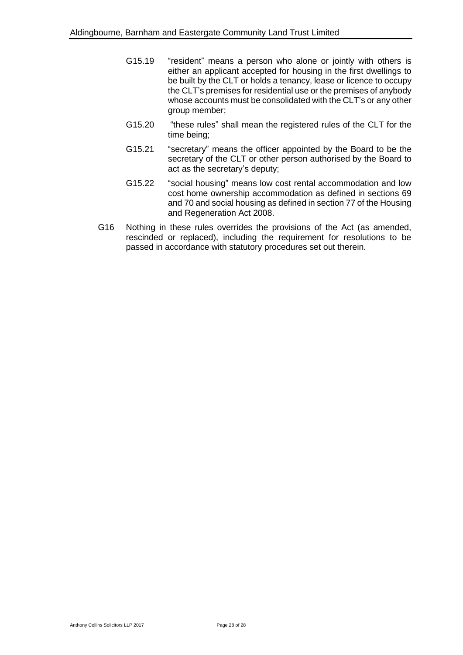- G15.19 "resident" means a person who alone or jointly with others is either an applicant accepted for housing in the first dwellings to be built by the CLT or holds a tenancy, lease or licence to occupy the CLT's premises for residential use or the premises of anybody whose accounts must be consolidated with the CLT's or any other group member;
- G15.20 "these rules" shall mean the registered rules of the CLT for the time being;
- G15.21 "secretary" means the officer appointed by the Board to be the secretary of the CLT or other person authorised by the Board to act as the secretary's deputy;
- G15.22 "social housing" means low cost rental accommodation and low cost home ownership accommodation as defined in sections 69 and 70 and social housing as defined in section 77 of the Housing and Regeneration Act 2008.
- G16 Nothing in these rules overrides the provisions of the Act (as amended, rescinded or replaced), including the requirement for resolutions to be passed in accordance with statutory procedures set out therein.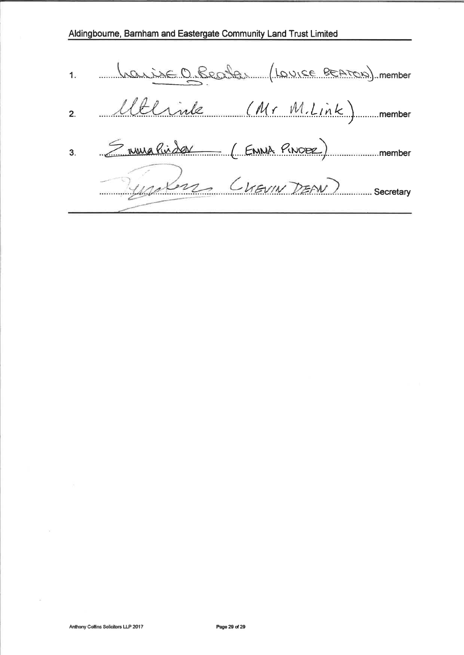Aldingboume, Barnham and Eastergate Community Land Trust Limited

1 <u>Lauise O. Beata</u> (Louise BEATON) member 2. Alterine (Mr M.Link) member 3. <del>Survelisder (ENNA PINOBE)</del> Unknow CLEVIN DEAN) Secretary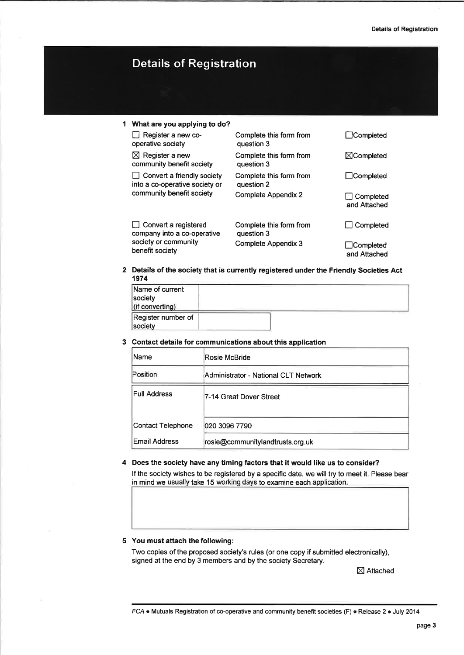# Details of Registration

#### I What are you applying to do?  $\Box$  Register a new cooperative society  $\boxtimes$  Register a new community benefit society  $\Box$  Convert a friendly society into a co-operative society or community benefit society Complete this form from question 3 Complete this form from question 3 Complete this form from question 2 Complete Appendix 2 Complete this form from question 3 Complete Appendix 3 □Completed XCompleted □Completed  $\Box$  Completed and Aftached  $\Box$  Completed □ Completed and Attached  $\Box$  Convert a registered company into a co-operative society or community benefit society

2 Details of the society that is currently registered under the Friendly Societies Act 1974

| Name of current<br>society<br>(if converting) |  |  |
|-----------------------------------------------|--|--|
| Register number of<br>society                 |  |  |

3 Contact details for communications about this application

| Name                 | Rosie McBride                        |
|----------------------|--------------------------------------|
| Position             | Administrator - National CLT Network |
| <b>Full Address</b>  | 7-14 Great Dover Street              |
| Contact Telephone    | 020 3096 7790                        |
| <b>Email Address</b> | rosie@communitylandtrusts.org.uk     |

4 Does the society have any timing factors that it would like us to consider?

lf the society wishes to be registered by a specific date, we will try to meet it. Please bear in mind we usually take 15 working days to examine each application.

#### 5 You must attach the following:

Two copies of the proposed society's rules (or one copy if submitted electronically), signed at the end by 3 members and by the society Secretary.

 $\boxtimes$  Attached

FCA  $\bullet$  Mutuals Registration of co-operative and community benefit societies (F)  $\bullet$  Release 2  $\bullet$  July 2014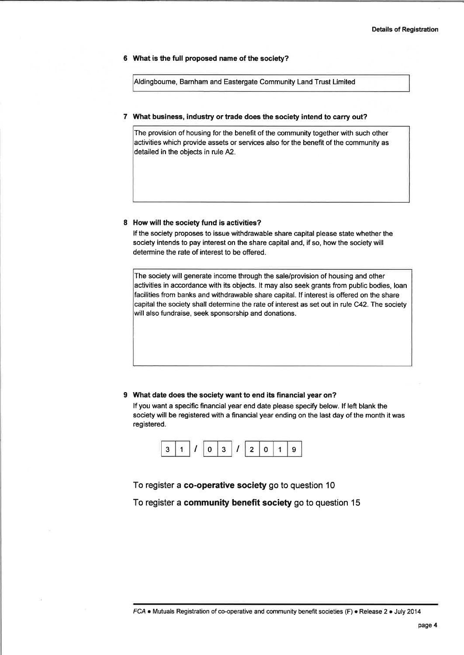#### 6 What is the full proposed name of the society?

Aldingboume, Barnham and Eastergate Community Land Trust Limited

#### 7 What business, industry or trade does the society intend to carry out?

The provision of housing for the benefit of the community together with such other activities which provide assets or services also for the benefit of the community as detailed in the objects in rule A2.

#### 8 How will the society fund is activities?

lf the society proposes to issue withdrawable share capital please state whether the society intends to pay interest on the share capital and, if so, how the society will determine the rate of interest to be offered.

The society will generate income through the sale/provision of housing and other activities in accordance with its objects. lt may also seek grants from public bodies, loan facilities from banks and withdrawable share capital. lf interest is offered on the share capital the society shall determine the rate of interest as set out in rule C42. The society will also fundraise, seek sponsorship and donations.

#### 9 What date does the society want to end its financial year on?

If you want a specific financial year end date please specify below. If left blank the society will be registered with a financial year ending on the last day of the month it was registered.



To register a co-operative society go to question <sup>10</sup>

To register a community benefit society go to question 15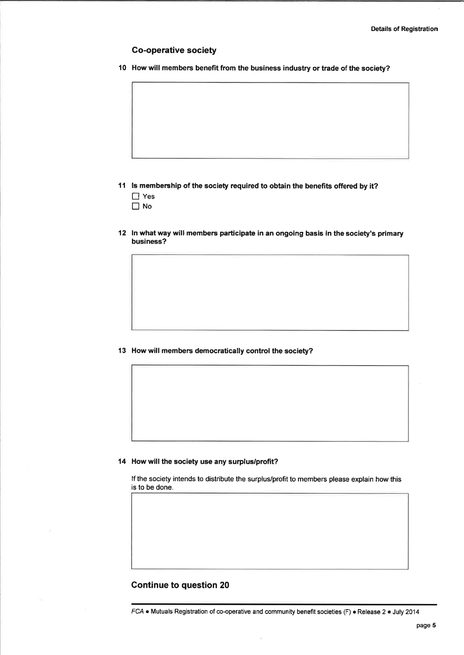#### Go-operative society

l0 How will members benefit from the business industry or trade of the society?

- 11 ls membership of the society required to obtain the benefits offered by it? □ Yes  $\Box$  No
- l2 ln what way will members participate in an ongoing basis in the society's primary business?

13 How will members democratically control the society?

14 How will the society use any surplus/profit?

lf the society intends to distribute the surplus/profit to members please explain how this is to be done.

#### Continue to question <sup>20</sup>

FCA . Mutuals Registration of co-operative and community benefit societies (F) . Release 2 . July 2014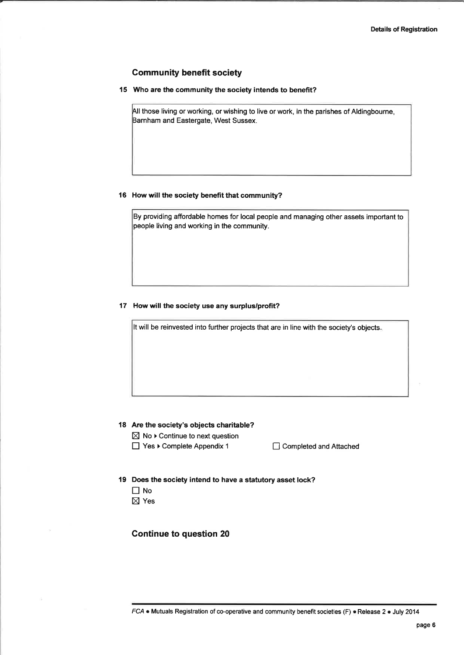#### **Community benefit society**

15 Who are the community the society intends to benefit?

All those living or working, or wishing to live or work, in the parishes of Aldingbourne, Barnham and Eastergate, West Sussex.

#### 16 How will the society benefit that community?

By providing affordable homes for local people and managing other assets important to people living and working in the community.

#### 17 How will the society use any surplus/profit?

It will be reinvested into further projects that are in line with the society's objects.

#### 18 Are the society's objects charitable?

 $\boxtimes$  No  $\blacktriangleright$  Continue to next question

□ Yes ▶ Complete Appendix 1 □ Completed and Attached

- 19 Does the society intend to have a statutory asset lock?
	- $\Box$  No
	- $\boxtimes$  Yes

Continue to question <sup>20</sup>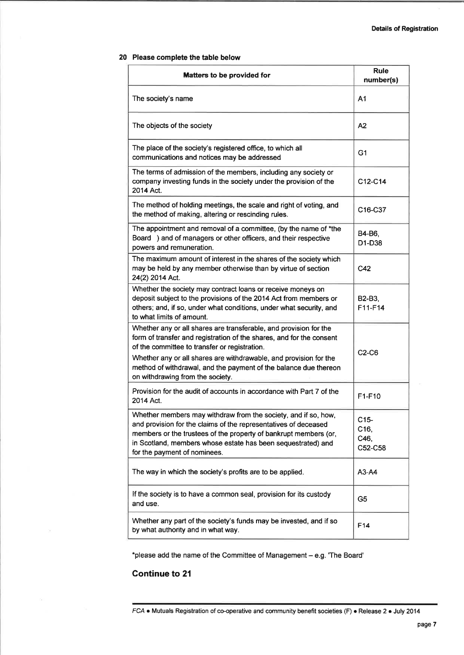#### 20 Please complete the table below

| <b>Matters to be provided for</b>                                                                                                                                                                                                                                                                                                                                       | <b>Rule</b><br>number(s)          |
|-------------------------------------------------------------------------------------------------------------------------------------------------------------------------------------------------------------------------------------------------------------------------------------------------------------------------------------------------------------------------|-----------------------------------|
| The society's name                                                                                                                                                                                                                                                                                                                                                      | A <sub>1</sub>                    |
| The objects of the society                                                                                                                                                                                                                                                                                                                                              | A2                                |
| The place of the society's registered office, to which all<br>communications and notices may be addressed                                                                                                                                                                                                                                                               | G <sub>1</sub>                    |
| The terms of admission of the members, including any society or<br>company investing funds in the society under the provision of the<br>2014 Act.                                                                                                                                                                                                                       | C12-C14                           |
| The method of holding meetings, the scale and right of voting, and<br>the method of making, altering or rescinding rules.                                                                                                                                                                                                                                               | C16-C37                           |
| The appointment and removal of a committee, (by the name of *the<br>Board ) and of managers or other officers, and their respective<br>powers and remuneration.                                                                                                                                                                                                         | B4-B6,<br>D1-D38                  |
| The maximum amount of interest in the shares of the society which<br>may be held by any member otherwise than by virtue of section<br>24(2) 2014 Act.                                                                                                                                                                                                                   | C42                               |
| Whether the society may contract loans or receive moneys on<br>deposit subject to the provisions of the 2014 Act from members or<br>others; and, if so, under what conditions, under what security, and<br>to what limits of amount.                                                                                                                                    | B2-B3,<br>F11-F14                 |
| Whether any or all shares are transferable, and provision for the<br>form of transfer and registration of the shares, and for the consent<br>of the committee to transfer or registration.<br>Whether any or all shares are withdrawable, and provision for the<br>method of withdrawal, and the payment of the balance due thereon<br>on withdrawing from the society. | $C2-C6$                           |
| Provision for the audit of accounts in accordance with Part 7 of the<br>2014 Act.                                                                                                                                                                                                                                                                                       | F1-F10                            |
| Whether members may withdraw from the society, and if so, how,<br>and provision for the claims of the representatives of deceased<br>members or the trustees of the property of bankrupt members (or,<br>in Scotland, members whose estate has been sequestrated) and<br>for the payment of nominees.                                                                   | $C15-$<br>C16,<br>C46,<br>C52-C58 |
| The way in which the society's profits are to be applied.                                                                                                                                                                                                                                                                                                               | $A3-A4$                           |
| If the society is to have a common seal, provision for its custody<br>and use.                                                                                                                                                                                                                                                                                          | G <sub>5</sub>                    |
| Whether any part of the society's funds may be invested, and if so<br>by what authority and in what way.                                                                                                                                                                                                                                                                | F14                               |

\*please add the name of the Committee of Management - e.g. 'The Board'

## Gontinue to 21

FCA • Mutuals Registration of co-operative and community benefit societies (F) • Release 2 · July 2014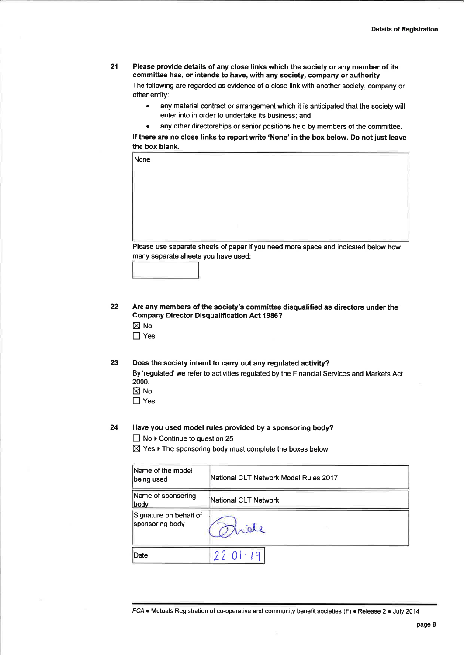21 Please provide details of any close links which the society or any member of its committee has, or intends to have, with any society, company or authority The following are regarded as evidence of a close link with another society, company or other entity:

- . any material contract or arrangement which it is anticipated that the society will enter into in order to undertake its business; and
- any other directorships or senior positions held by members of the committee.

lf there are no close links to report write 'None' in the box below. Do not just leave the box blank.

| None                                                                               |  |  |  |
|------------------------------------------------------------------------------------|--|--|--|
|                                                                                    |  |  |  |
|                                                                                    |  |  |  |
|                                                                                    |  |  |  |
|                                                                                    |  |  |  |
|                                                                                    |  |  |  |
|                                                                                    |  |  |  |
| Please use separate sheets of paper if you need more space and indicated below how |  |  |  |
| many separate sheets you have used:                                                |  |  |  |
|                                                                                    |  |  |  |

22 Are any members of the society's committee disqualified as directors under the Gompany Director Disqualification Act 1986?

- $\boxtimes$  No □ Yes
- 
- 23 Does the society intend to carry out any regulated activity? By 'regulated' we refer to activities regulated by the Financial Services and Markets Act
	- 2000.
	- $\boxtimes$  No □ Yes
	-

#### Have you used model rules provided by a sponsoring body? 24

 $\Box$  No  $\triangleright$  Continue to question 25

 $\boxtimes$  Yes  $\blacktriangleright$  The sponsoring body must complete the boxes below.

| Name of the model<br>being used           | National CLT Network Model Rules 2017 |
|-------------------------------------------|---------------------------------------|
| Name of sponsoring<br>body                | National CLT Network                  |
| Signature on behalf of<br>sponsoring body | Tride                                 |
| Date                                      | 22.01.19                              |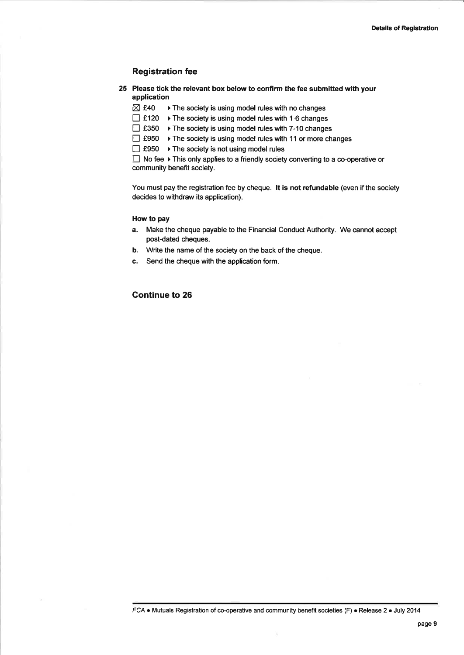#### Registration fee

- 25 Please tick the relevant box below to confirm the fee submitted with your application
	- $\boxtimes$  £40  $\rightarrow$  The society is using model rules with no changes
	- $\Box$  £120  $\rightarrow$  The society is using model rules with 1-6 changes
	- $□$  £350  $□$  The society is using model rules with 7-10 changes
	- $\Box$  £950  $\rightarrow$  The society is using model rules with 11 or more changes
	- $\Box$  £950  $\rightarrow$  The society is not using model rules

 $\Box$  No fee  $\blacktriangleright$  This only applies to a friendly society converting to a co-operative or community benefit society.

You must pay the registration fee by cheque. lt is not refundable (even if the society decides to withdraw its application).

#### How to pay

- a. Make the cheque payable to the Financial Conduct Authority. We cannot accept post-dated cheques.
- b. Write the name of the society on the back of the cheque.
- c. Send the cheque with the application form.

#### Gontinue to 26